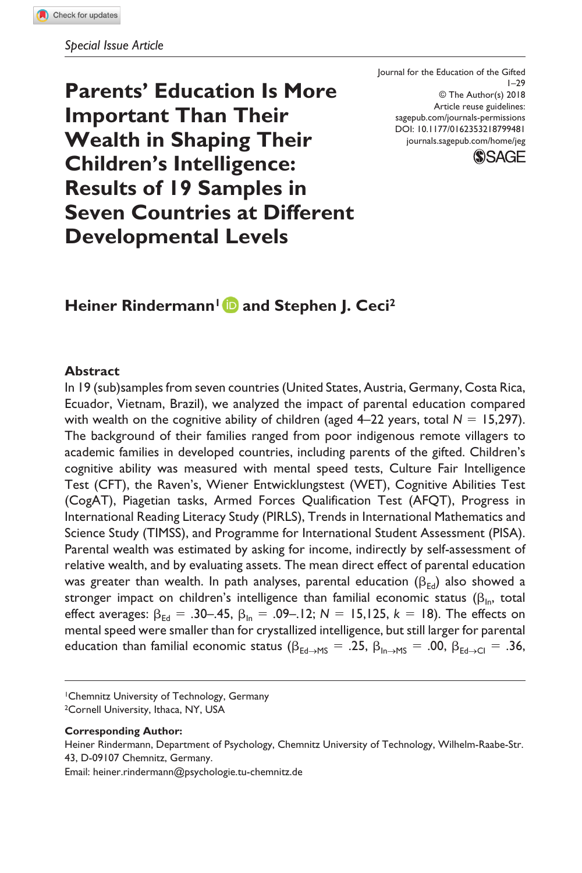*Special Issue Article*

**Parents' Education Is More Important Than Their Wealth in Shaping Their Children's Intelligence: Results of 19 Samples in Seven Countries at Different Developmental Levels**

DOI: 10.1177/0162353218799481 Journal for the Education of the Gifted  $1 - 29$ © The Author(s) 2018 Article reuse guidelines: [sagepub.com/journals-permissions](https://us.sagepub.com/en-us/journals-permissions) [journals.sagepub.com/home/jeg](https://journals.sagepub.com/home/jeg)



# Heiner Rindermann<sup>1</sup> **D** and Stephen J. Ceci<sup>2</sup>

#### **Abstract**

In 19 (sub)samples from seven countries (United States, Austria, Germany, Costa Rica, Ecuador, Vietnam, Brazil), we analyzed the impact of parental education compared with wealth on the cognitive ability of children (aged  $4-22$  years, total  $N = 15,297$ ). The background of their families ranged from poor indigenous remote villagers to academic families in developed countries, including parents of the gifted. Children's cognitive ability was measured with mental speed tests, Culture Fair Intelligence Test (CFT), the Raven's, Wiener Entwicklungstest (WET), Cognitive Abilities Test (CogAT), Piagetian tasks, Armed Forces Qualification Test (AFQT), Progress in International Reading Literacy Study (PIRLS), Trends in International Mathematics and Science Study (TIMSS), and Programme for International Student Assessment (PISA). Parental wealth was estimated by asking for income, indirectly by self-assessment of relative wealth, and by evaluating assets. The mean direct effect of parental education was greater than wealth. In path analyses, parental education ( $\beta_{\text{Ed}}$ ) also showed a stronger impact on children's intelligence than familial economic status ( $\beta_{\text{In}}$ , total effect averages:  $β_{Fd} = .30-.45, β_{In} = .09-.12; N = 15,125, k = 18$ ). The effects on mental speed were smaller than for crystallized intelligence, but still larger for parental education than familial economic status ( $\beta_{Ed \rightarrow MS} = .25$ ,  $\beta_{ln \rightarrow MS} = .00$ ,  $\beta_{Ed \rightarrow CI} = .36$ ,

1Chemnitz University of Technology, Germany 2Cornell University, Ithaca, NY, USA

#### **Corresponding Author:**

Heiner Rindermann, Department of Psychology, Chemnitz University of Technology, Wilhelm-Raabe-Str. 43, D-09107 Chemnitz, Germany.

Email: [heiner.rindermann@psychologie.tu-chemnitz.de](mailto:heiner.rindermann@psychologie.tu-chemnitz.de)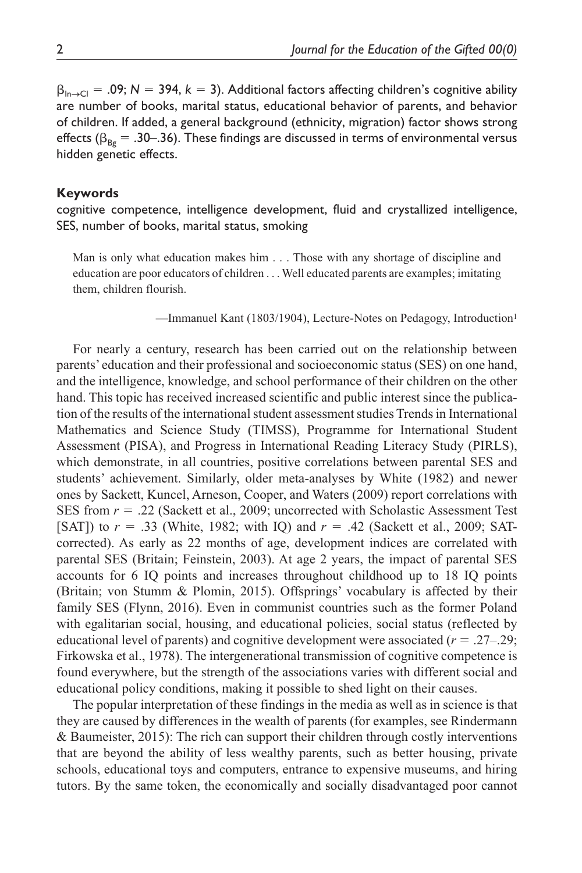$\beta_{\ln\rightarrow\text{Cl}} = .09$ ; *N* = 394, *k* = 3). Additional factors affecting children's cognitive ability are number of books, marital status, educational behavior of parents, and behavior of children. If added, a general background (ethnicity, migration) factor shows strong effects ( $\beta_{Bg} = .30-.36$ ). These findings are discussed in terms of environmental versus hidden genetic effects.

#### **Keywords**

cognitive competence, intelligence development, fluid and crystallized intelligence, SES, number of books, marital status, smoking

Man is only what education makes him . . . Those with any shortage of discipline and education are poor educators of children . . . Well educated parents are examples; imitating them, children flourish.

—Immanuel Kant (1803/1904), Lecture-Notes on Pedagogy, Introduction<sup>1</sup>

For nearly a century, research has been carried out on the relationship between parents' education and their professional and socioeconomic status (SES) on one hand, and the intelligence, knowledge, and school performance of their children on the other hand. This topic has received increased scientific and public interest since the publication of the results of the international student assessment studies Trends in International Mathematics and Science Study (TIMSS), Programme for International Student Assessment (PISA), and Progress in International Reading Literacy Study (PIRLS), which demonstrate, in all countries, positive correlations between parental SES and students' achievement. Similarly, older meta-analyses by White (1982) and newer ones by Sackett, Kuncel, Arneson, Cooper, and Waters (2009) report correlations with SES from *r* = .22 (Sackett et al., 2009; uncorrected with Scholastic Assessment Test [SAT]) to *r* = .33 (White, 1982; with IQ) and *r* = .42 (Sackett et al., 2009; SATcorrected). As early as 22 months of age, development indices are correlated with parental SES (Britain; Feinstein, 2003). At age 2 years, the impact of parental SES accounts for 6 IQ points and increases throughout childhood up to 18 IQ points (Britain; von Stumm & Plomin, 2015). Offsprings' vocabulary is affected by their family SES (Flynn, 2016). Even in communist countries such as the former Poland with egalitarian social, housing, and educational policies, social status (reflected by educational level of parents) and cognitive development were associated (*r* = .27–.29; Firkowska et al., 1978). The intergenerational transmission of cognitive competence is found everywhere, but the strength of the associations varies with different social and educational policy conditions, making it possible to shed light on their causes.

The popular interpretation of these findings in the media as well as in science is that they are caused by differences in the wealth of parents (for examples, see Rindermann & Baumeister, 2015): The rich can support their children through costly interventions that are beyond the ability of less wealthy parents, such as better housing, private schools, educational toys and computers, entrance to expensive museums, and hiring tutors. By the same token, the economically and socially disadvantaged poor cannot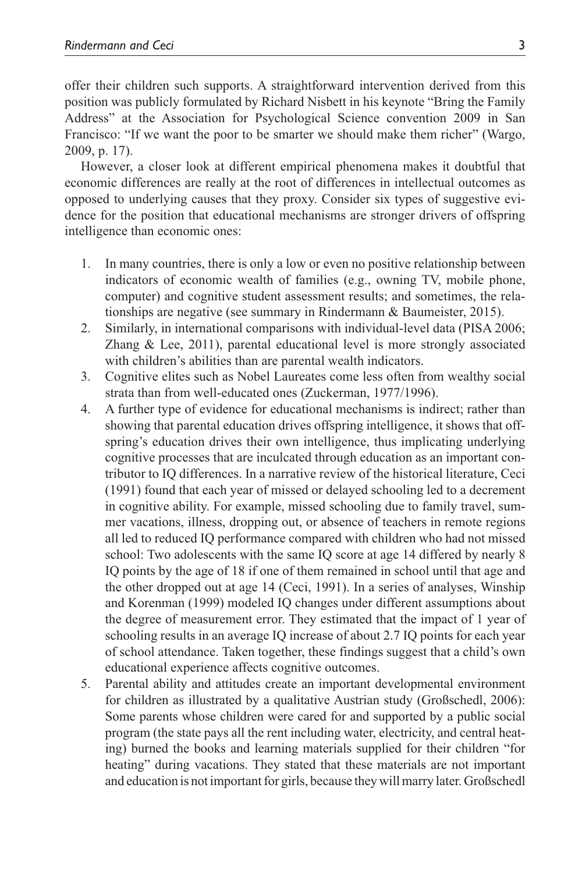offer their children such supports. A straightforward intervention derived from this position was publicly formulated by Richard Nisbett in his keynote "Bring the Family Address" at the Association for Psychological Science convention 2009 in San Francisco: "If we want the poor to be smarter we should make them richer" (Wargo, 2009, p. 17).

However, a closer look at different empirical phenomena makes it doubtful that economic differences are really at the root of differences in intellectual outcomes as opposed to underlying causes that they proxy. Consider six types of suggestive evidence for the position that educational mechanisms are stronger drivers of offspring intelligence than economic ones:

- 1. In many countries, there is only a low or even no positive relationship between indicators of economic wealth of families (e.g., owning TV, mobile phone, computer) and cognitive student assessment results; and sometimes, the relationships are negative (see summary in Rindermann & Baumeister, 2015).
- 2. Similarly, in international comparisons with individual-level data (PISA 2006; Zhang & Lee, 2011), parental educational level is more strongly associated with children's abilities than are parental wealth indicators.
- 3. Cognitive elites such as Nobel Laureates come less often from wealthy social strata than from well-educated ones (Zuckerman, 1977/1996).
- 4. A further type of evidence for educational mechanisms is indirect; rather than showing that parental education drives offspring intelligence, it shows that offspring's education drives their own intelligence, thus implicating underlying cognitive processes that are inculcated through education as an important contributor to IQ differences. In a narrative review of the historical literature, Ceci (1991) found that each year of missed or delayed schooling led to a decrement in cognitive ability. For example, missed schooling due to family travel, summer vacations, illness, dropping out, or absence of teachers in remote regions all led to reduced IQ performance compared with children who had not missed school: Two adolescents with the same IQ score at age 14 differed by nearly 8 IQ points by the age of 18 if one of them remained in school until that age and the other dropped out at age 14 (Ceci, 1991). In a series of analyses, Winship and Korenman (1999) modeled IQ changes under different assumptions about the degree of measurement error. They estimated that the impact of 1 year of schooling results in an average IQ increase of about 2.7 IQ points for each year of school attendance. Taken together, these findings suggest that a child's own educational experience affects cognitive outcomes.
- 5. Parental ability and attitudes create an important developmental environment for children as illustrated by a qualitative Austrian study (Großschedl, 2006): Some parents whose children were cared for and supported by a public social program (the state pays all the rent including water, electricity, and central heating) burned the books and learning materials supplied for their children "for heating" during vacations. They stated that these materials are not important and education is not important for girls, because they will marry later. Großschedl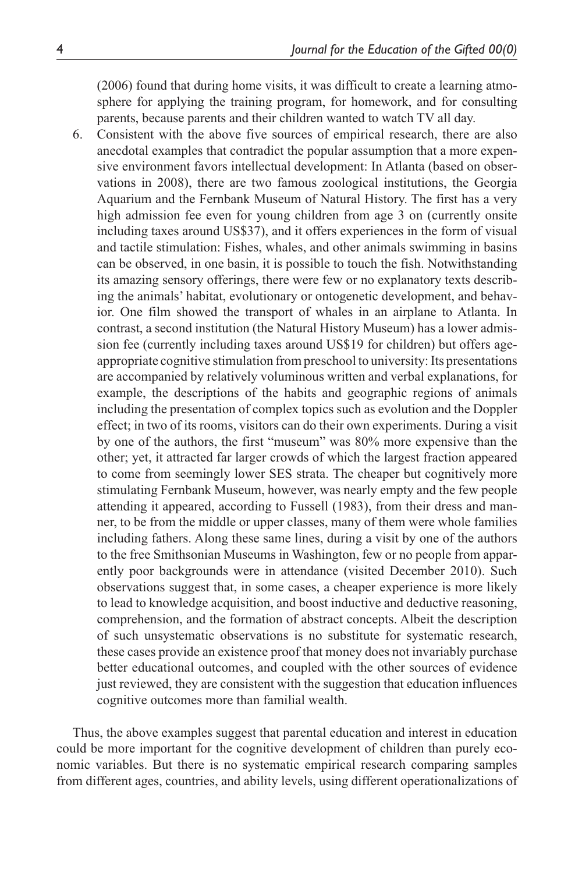(2006) found that during home visits, it was difficult to create a learning atmosphere for applying the training program, for homework, and for consulting parents, because parents and their children wanted to watch TV all day.

6. Consistent with the above five sources of empirical research, there are also anecdotal examples that contradict the popular assumption that a more expensive environment favors intellectual development: In Atlanta (based on observations in 2008), there are two famous zoological institutions, the Georgia Aquarium and the Fernbank Museum of Natural History. The first has a very high admission fee even for young children from age 3 on (currently onsite including taxes around US\$37), and it offers experiences in the form of visual and tactile stimulation: Fishes, whales, and other animals swimming in basins can be observed, in one basin, it is possible to touch the fish. Notwithstanding its amazing sensory offerings, there were few or no explanatory texts describing the animals' habitat, evolutionary or ontogenetic development, and behavior. One film showed the transport of whales in an airplane to Atlanta. In contrast, a second institution (the Natural History Museum) has a lower admission fee (currently including taxes around US\$19 for children) but offers ageappropriate cognitive stimulation from preschool to university: Its presentations are accompanied by relatively voluminous written and verbal explanations, for example, the descriptions of the habits and geographic regions of animals including the presentation of complex topics such as evolution and the Doppler effect; in two of its rooms, visitors can do their own experiments. During a visit by one of the authors, the first "museum" was 80% more expensive than the other; yet, it attracted far larger crowds of which the largest fraction appeared to come from seemingly lower SES strata. The cheaper but cognitively more stimulating Fernbank Museum, however, was nearly empty and the few people attending it appeared, according to Fussell (1983), from their dress and manner, to be from the middle or upper classes, many of them were whole families including fathers. Along these same lines, during a visit by one of the authors to the free Smithsonian Museums in Washington, few or no people from apparently poor backgrounds were in attendance (visited December 2010). Such observations suggest that, in some cases, a cheaper experience is more likely to lead to knowledge acquisition, and boost inductive and deductive reasoning, comprehension, and the formation of abstract concepts. Albeit the description of such unsystematic observations is no substitute for systematic research, these cases provide an existence proof that money does not invariably purchase better educational outcomes, and coupled with the other sources of evidence just reviewed, they are consistent with the suggestion that education influences cognitive outcomes more than familial wealth.

Thus, the above examples suggest that parental education and interest in education could be more important for the cognitive development of children than purely economic variables. But there is no systematic empirical research comparing samples from different ages, countries, and ability levels, using different operationalizations of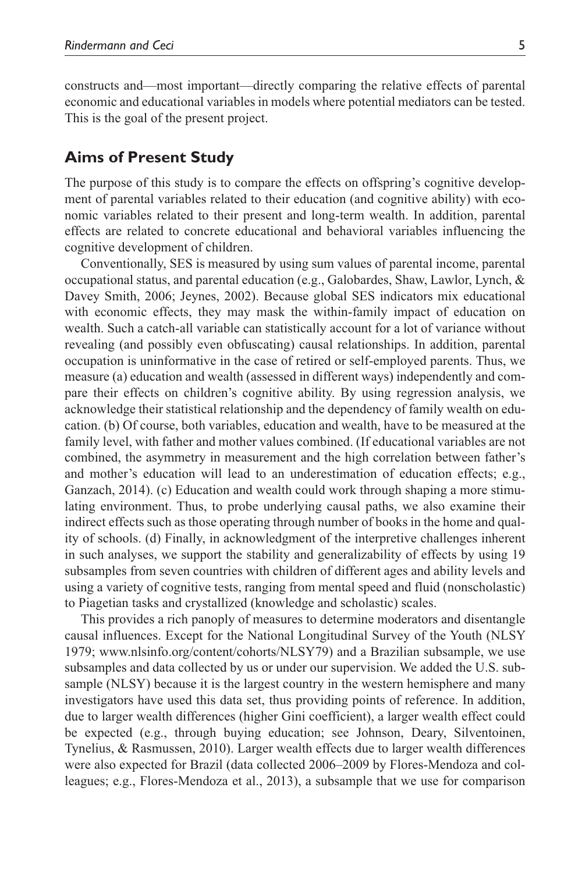constructs and—most important—directly comparing the relative effects of parental economic and educational variables in models where potential mediators can be tested. This is the goal of the present project.

## **Aims of Present Study**

The purpose of this study is to compare the effects on offspring's cognitive development of parental variables related to their education (and cognitive ability) with economic variables related to their present and long-term wealth. In addition, parental effects are related to concrete educational and behavioral variables influencing the cognitive development of children.

Conventionally, SES is measured by using sum values of parental income, parental occupational status, and parental education (e.g., Galobardes, Shaw, Lawlor, Lynch, & Davey Smith, 2006; Jeynes, 2002). Because global SES indicators mix educational with economic effects, they may mask the within-family impact of education on wealth. Such a catch-all variable can statistically account for a lot of variance without revealing (and possibly even obfuscating) causal relationships. In addition, parental occupation is uninformative in the case of retired or self-employed parents. Thus, we measure (a) education and wealth (assessed in different ways) independently and compare their effects on children's cognitive ability. By using regression analysis, we acknowledge their statistical relationship and the dependency of family wealth on education. (b) Of course, both variables, education and wealth, have to be measured at the family level, with father and mother values combined. (If educational variables are not combined, the asymmetry in measurement and the high correlation between father's and mother's education will lead to an underestimation of education effects; e.g., Ganzach, 2014). (c) Education and wealth could work through shaping a more stimulating environment. Thus, to probe underlying causal paths, we also examine their indirect effects such as those operating through number of books in the home and quality of schools. (d) Finally, in acknowledgment of the interpretive challenges inherent in such analyses, we support the stability and generalizability of effects by using 19 subsamples from seven countries with children of different ages and ability levels and using a variety of cognitive tests, ranging from mental speed and fluid (nonscholastic) to Piagetian tasks and crystallized (knowledge and scholastic) scales.

This provides a rich panoply of measures to determine moderators and disentangle causal influences. Except for the National Longitudinal Survey of the Youth (NLSY 1979; [www.nlsinfo.org/content/cohorts/NLSY79\)](www.nlsinfo.org/content/cohorts/NLSY79) and a Brazilian subsample, we use subsamples and data collected by us or under our supervision. We added the U.S. subsample (NLSY) because it is the largest country in the western hemisphere and many investigators have used this data set, thus providing points of reference. In addition, due to larger wealth differences (higher Gini coefficient), a larger wealth effect could be expected (e.g., through buying education; see Johnson, Deary, Silventoinen, Tynelius, & Rasmussen, 2010). Larger wealth effects due to larger wealth differences were also expected for Brazil (data collected 2006–2009 by Flores-Mendoza and colleagues; e.g., Flores-Mendoza et al., 2013), a subsample that we use for comparison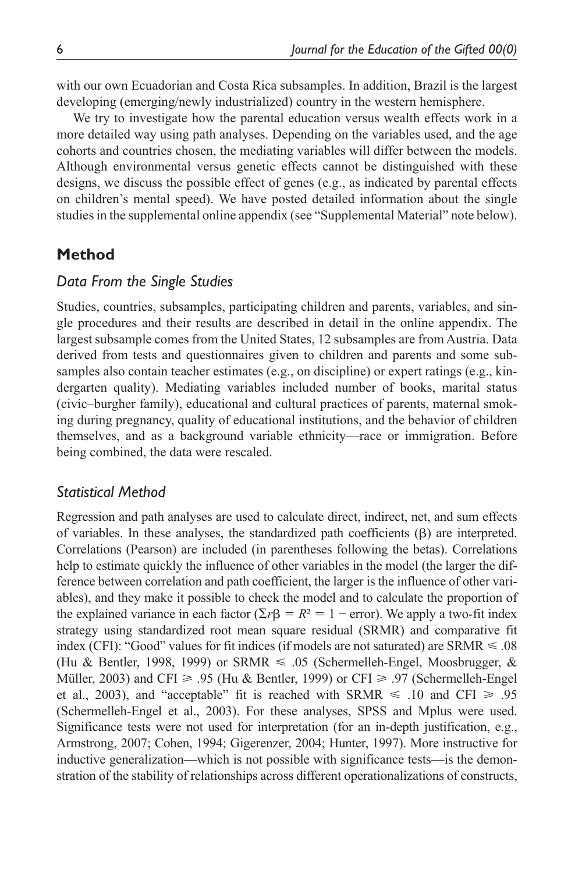with our own Ecuadorian and Costa Rica subsamples. In addition, Brazil is the largest developing (emerging/newly industrialized) country in the western hemisphere.

We try to investigate how the parental education versus wealth effects work in a more detailed way using path analyses. Depending on the variables used, and the age cohorts and countries chosen, the mediating variables will differ between the models. Although environmental versus genetic effects cannot be distinguished with these designs, we discuss the possible effect of genes (e.g., as indicated by parental effects on children's mental speed). We have posted detailed information about the single studies in the supplemental online appendix (see "Supplemental Material" note below).

# **Method**

## *Data From the Single Studies*

Studies, countries, subsamples, participating children and parents, variables, and single procedures and their results are described in detail in the online appendix. The largest subsample comes from the United States, 12 subsamples are from Austria. Data derived from tests and questionnaires given to children and parents and some subsamples also contain teacher estimates (e.g., on discipline) or expert ratings (e.g., kindergarten quality). Mediating variables included number of books, marital status (civic–burgher family), educational and cultural practices of parents, maternal smoking during pregnancy, quality of educational institutions, and the behavior of children themselves, and as a background variable ethnicity—race or immigration. Before being combined, the data were rescaled.

## *Statistical Method*

Regression and path analyses are used to calculate direct, indirect, net, and sum effects of variables. In these analyses, the standardized path coefficients (β) are interpreted. Correlations (Pearson) are included (in parentheses following the betas). Correlations help to estimate quickly the influence of other variables in the model (the larger the difference between correlation and path coefficient, the larger is the influence of other variables), and they make it possible to check the model and to calculate the proportion of the explained variance in each factor ( $\Sigma r\beta = R^2 = 1$  – error). We apply a two-fit index strategy using standardized root mean square residual (SRMR) and comparative fit index (CFI): "Good" values for fit indices (if models are not saturated) are SRMR  $\leq 0.08$ (Hu & Bentler, 1998, 1999) or SRMR  $\leq$  .05 (Schermelleh-Engel, Moosbrugger, & Müller, 2003) and CFI  $\geq$  .95 (Hu & Bentler, 1999) or CFI  $\geq$  .97 (Schermelleh-Engel et al., 2003), and "acceptable" fit is reached with SRMR  $\leq$  .10 and CFI  $\geq$  .95 (Schermelleh-Engel et al., 2003). For these analyses, SPSS and Mplus were used. Significance tests were not used for interpretation (for an in-depth justification, e.g., Armstrong, 2007; Cohen, 1994; Gigerenzer, 2004; Hunter, 1997). More instructive for inductive generalization—which is not possible with significance tests—is the demonstration of the stability of relationships across different operationalizations of constructs,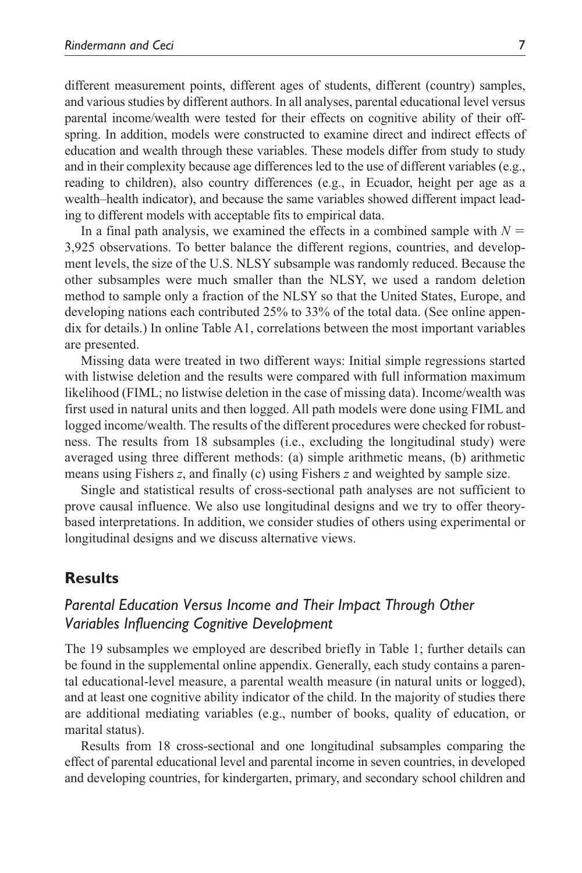different measurement points, different ages of students, different (country) samples, and various studies by different authors. In all analyses, parental educational level versus parental income/wealth were tested for their effects on cognitive ability of their offspring. In addition, models were constructed to examine direct and indirect effects of education and wealth through these variables. These models differ from study to study and in their complexity because age differences led to the use of different variables (e.g., reading to children), also country differences (e.g., in Ecuador, height per age as a wealth–health indicator), and because the same variables showed different impact leading to different models with acceptable fits to empirical data.

In a final path analysis, we examined the effects in a combined sample with  $N =$ 3,925 observations. To better balance the different regions, countries, and development levels, the size of the U.S. NLSY subsample was randomly reduced. Because the other subsamples were much smaller than the NLSY, we used a random deletion method to sample only a fraction of the NLSY so that the United States, Europe, and developing nations each contributed 25% to 33% of the total data. (See online appendix for details.) In online Table A1, correlations between the most important variables are presented.

Missing data were treated in two different ways: Initial simple regressions started with listwise deletion and the results were compared with full information maximum likelihood (FIML; no listwise deletion in the case of missing data). Income/wealth was first used in natural units and then logged. All path models were done using FIML and logged income/wealth. The results of the different procedures were checked for robustness. The results from 18 subsamples (i.e., excluding the longitudinal study) were averaged using three different methods: (a) simple arithmetic means, (b) arithmetic means using Fishers *z*, and finally (c) using Fishers *z* and weighted by sample size.

Single and statistical results of cross-sectional path analyses are not sufficient to prove causal influence. We also use longitudinal designs and we try to offer theorybased interpretations. In addition, we consider studies of others using experimental or longitudinal designs and we discuss alternative views.

## **Results**

## *Parental Education Versus Income and Their Impact Through Other Variables Influencing Cognitive Development*

The 19 subsamples we employed are described briefly in Table 1; further details can be found in the supplemental online appendix. Generally, each study contains a parental educational-level measure, a parental wealth measure (in natural units or logged), and at least one cognitive ability indicator of the child. In the majority of studies there are additional mediating variables (e.g., number of books, quality of education, or marital status).

Results from 18 cross-sectional and one longitudinal subsamples comparing the effect of parental educational level and parental income in seven countries, in developed and developing countries, for kindergarten, primary, and secondary school children and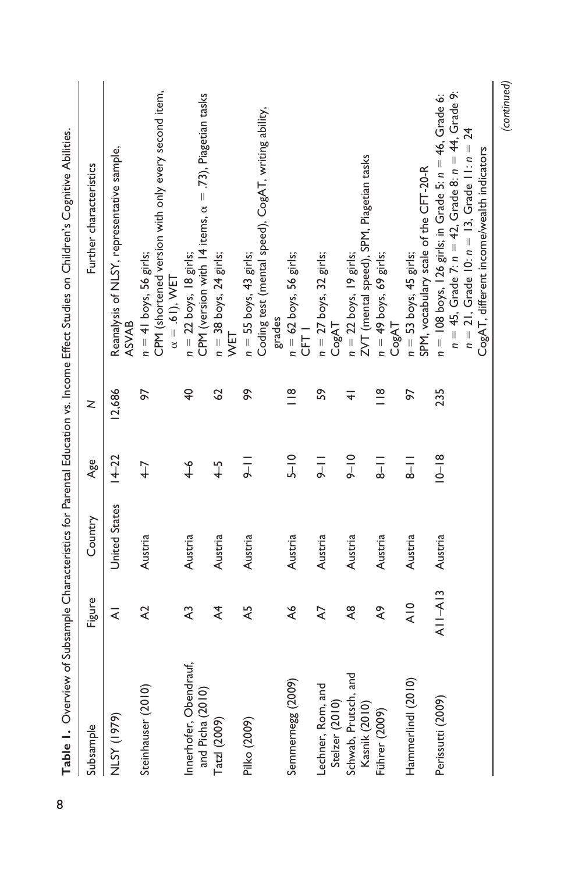|                                            |                          |               |               |                | SANDING C ANDISOLA SERVISION OF SANDING CORRESPONDENT IN THE SANDWARD CONSIDERING INTERNATION AND SAND AND SANDWARD OF SANDWARD OF SANDWARD CONSIDERED AND SANDWARD OF SANDWARD OF SANDWARD CONSIDERED AND SANDWARD OF SANDWAR |
|--------------------------------------------|--------------------------|---------------|---------------|----------------|--------------------------------------------------------------------------------------------------------------------------------------------------------------------------------------------------------------------------------|
| Subsample                                  | Figure                   | Country       | Age           | z              | Further characteristics                                                                                                                                                                                                        |
| NLSY (1979)                                | $\overline{4}$           | United States | $14 - 22$     | 12,686         | Reanalysis of NLSY, representative sample,<br><b>ASVAB</b>                                                                                                                                                                     |
| Steinhauser (2010)                         | $\lambda$                | Austria       | $+7$          | 56             | CPM (shortened version with only every second item,<br>$n = 41$ boys, 56 girls;<br>$\alpha = .61$ ), WET                                                                                                                       |
| Innerhofer, Obendrauf,<br>and Picha (2010) | 43                       | Austria       | $rac{6}{1}$   | $\overline{4}$ | CPM (version with 14 items, $\alpha = .73$ ), Piagetian tasks<br>$n = 22$ boys, 18 girls;                                                                                                                                      |
| Tatzl (2009)                               | $\overline{\mathcal{X}}$ | Austria       | $rac{4}{5}$   | 62             | $n = 38$ boys, 24 girls;<br>WET                                                                                                                                                                                                |
| Pilko (2009)                               | 45                       | Austria       | $-11$         | 99             | Coding test (mental speed), CogAT, writing ability,<br>$n = 55$ boys, 43 girls;<br>grades                                                                                                                                      |
| Semmernegg (2009)                          | $\frac{8}{3}$            | Austria       | $5 - 10$      | $\frac{8}{1}$  | $n = 62$ boys, 56 girls;<br>CFT <sub>1</sub>                                                                                                                                                                                   |
| Lechner, Rom, and<br>Stelzer (2010)        | $\overline{A}$           | Austria       | $-11$         | 59             | $n = 27$ boys, 32 girls;<br>CogAT                                                                                                                                                                                              |
| Schwab, Prutsch, and<br>Kasnik (2010)      | œ                        | Austria       | $9 - 10$      | ₹              | ZVT (mental speed), SPM, Piagetian tasks<br>$n = 22$ boys, 19 girls;                                                                                                                                                           |
| Führer (2009)                              | $\overline{\mathcal{X}}$ | Austria       | $\frac{1}{6}$ | $\frac{8}{1}$  | $n = 49$ boys, 69 girls;<br>CogAT                                                                                                                                                                                              |
| Hammerlindl (2010)                         | $\frac{0}{4}$            | Austria       | $\frac{1}{6}$ | 56             | SPM, vocabulary scale of the CFT-20-R<br>$n = 53$ boys, 45 girls;                                                                                                                                                              |
| Perissutti (2009)                          | All-Al <sub>3</sub>      | Austria       | $10 - 18$     | 235            | $n = 45$ , Grade 7: $n = 42$ , Grade 8: $n = 44$ , Grade 9:<br>$n = 108$ boys, 126 girls; in Grade 5: $n = 46$ , Grade 6:<br>$n = 21$ , Grade 10: $n = 13$ , Grade 11: $n = 24$<br>CogAT, different income/wealth indicators   |

*(continued)*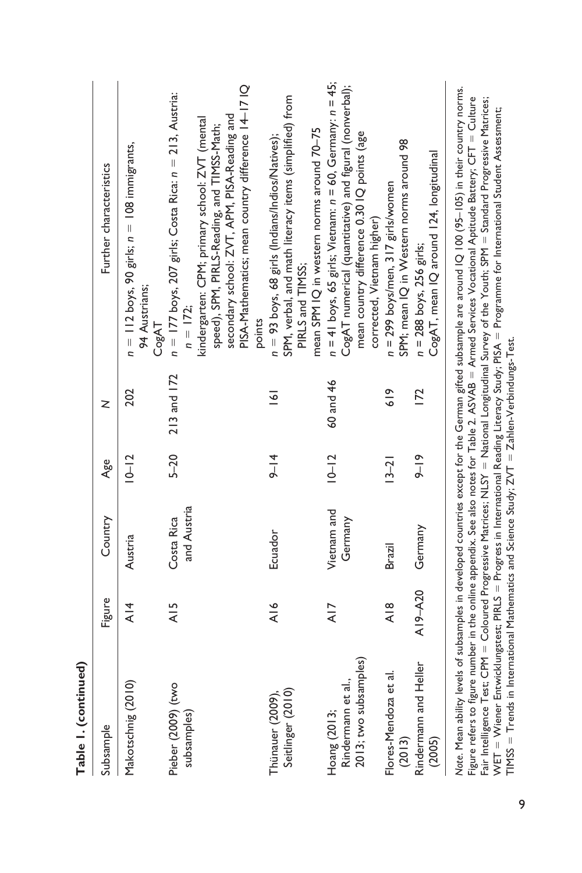| Table 1. (continued)                                        |                   |                           |           |                |                                                                                                                                                                                                                                                                                          |
|-------------------------------------------------------------|-------------------|---------------------------|-----------|----------------|------------------------------------------------------------------------------------------------------------------------------------------------------------------------------------------------------------------------------------------------------------------------------------------|
| Subsample                                                   | Figure            | Country                   | Age       | z              | Further characteristics                                                                                                                                                                                                                                                                  |
| Makotschnig (2010)                                          | $\frac{4}{4}$     | Austria                   | $10 - 12$ | 202            | $n = 112$ boys, 90 girls; $n = 108$ immigrants,<br>94 Austrians;<br>CogAT                                                                                                                                                                                                                |
| Pieber (2009) (two<br>subsamples)                           | $\overline{A}$ 15 | and Austria<br>Costa Rica | $5 - 20$  | 213 and 172    | PISA-Mathematics; mean country difference 14-171Q<br>$n = 177$ boys, 207 girls; Costa Rica: $n = 213$ , Austria:<br>secondary school: ZVT, APM, PISA-Reading and<br>kindergarten: CPM; primary school: ZVT (mental<br>speed), SPM, PIRLS-Reading, and TIMSS-Math;<br>$n = 172$<br>points |
| Seitlinger (2010)<br>Thünauer (2009),                       | A16               | Ecuador                   | $9 - 14$  | $\overline{6}$ | SPM, verbal, and math literacy items (simplified) from<br>mean SPM IQ in western norms around 70-75<br>$n = 93$ boys, 68 girls (Indians/Indios/Natives);<br>PIRLS and TIMSS;                                                                                                             |
| 2013; two subsamples)<br>Rindermann et al.,<br>Hoang (2013; | $\overline{2}$    | Vietnam and<br>Germany    | $10 - 12$ | 60 and 46      | $n = 41$ boys, 65 girls; Vietnam: $n = 60$ , Germany: $n = 45$ ;<br>CogAT numerical (quantitative) and figural (nonverbal);<br>mean country difference 0.30 IQ points (age<br>corrected, Vietnam higher)                                                                                 |
| Flores-Mendoza et al.<br>(2013)                             | $\frac{8}{4}$     | Brazil                    | $ 3-2 $   | 619            | SPM; mean IQ in Western norms around 98<br>$n = 299$ boys/men, $317$ girls/women                                                                                                                                                                                                         |
| Rindermann and Heller<br>(2005)                             | A19-A20           | Germany                   | $9 - 19$  | $\overline{2}$ | CogAT, mean IQ around 124, longitudinal<br>$n = 288$ boys, 256 girls;                                                                                                                                                                                                                    |
|                                                             |                   |                           |           |                | Nate. Mean ability levels of subsamples in developed countries except for the German gifted subsample are around IQ 100 (95–105) in their country norms.<br>Easing professional muchasity the policy countries are the process of                                                        |

Figure reters to figure number in the online appendix. See also notes for 1able 2. ASVAB = Armed Services Vocational Aptitude Battery; CF1 = Culture<br>Fair Intelligence Test; CPM = Coloured Progressive Matrices; NLSY = Natio Figure refers to figure number in the online appendix. See also notes for Table 2. ASVAB = Armed Services Vocational Aptitude Battery; CFT = Culture Fair Intelligence Test; CPM = Coloured Progressive Matrices; NLSY = National Longitudinal Survey of the Youth; SPM = Standard Progressive Matrices; WET = Wiener Entwicklungstest; PIRLS = Progress in International Reading Literacy Study; PISA = Programme for International Student Assessment; TIMSS = Trends in International Mathematics and Science Study; ZVT = Zahlen-Verbindungs-Test.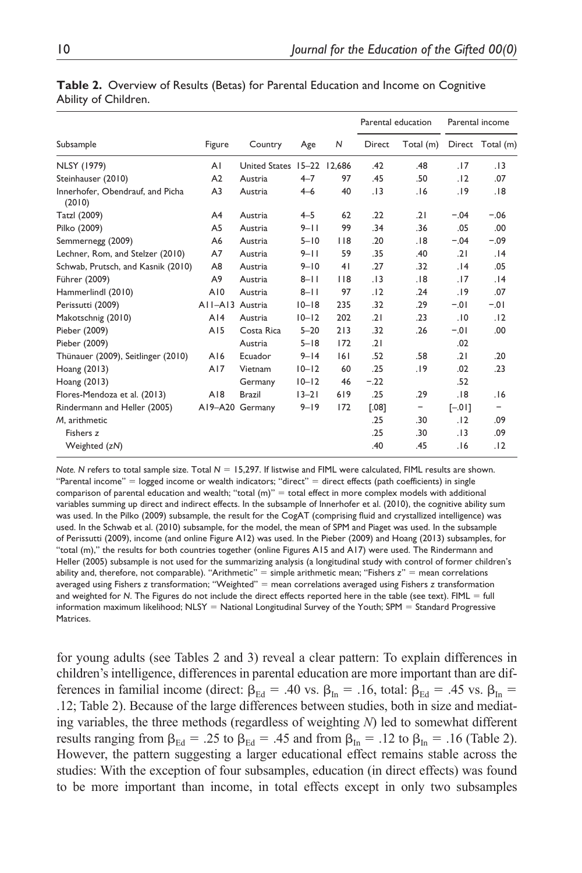|                                            |                 |                            |           |           |        | Parental education |          | Parental income  |
|--------------------------------------------|-----------------|----------------------------|-----------|-----------|--------|--------------------|----------|------------------|
| Subsample                                  | Figure          | Country                    | Age       | N         | Direct | Total (m)          |          | Direct Total (m) |
| <b>NLSY (1979)</b>                         | AI              | United States 15-22 12,686 |           |           | .42    | .48                | .17      | .13              |
| Steinhauser (2010)                         | A2              | Austria                    | $4 - 7$   | 97        | .45    | .50                | .12      | .07              |
| Innerhofer, Obendrauf, and Picha<br>(2010) | A <sub>3</sub>  | Austria                    | $4 - 6$   | 40        | .13    | .16                | .19      | .18              |
| Tatzl (2009)                               | A <sup>4</sup>  | Austria                    | $4 - 5$   | 62        | .22    | .21                | $-.04$   | $-.06$           |
| Pilko (2009)                               | A <sub>5</sub>  | Austria                    | $9 - 11$  | 99        | .34    | .36                | .05      | .00              |
| Semmernegg (2009)                          | A <sub>6</sub>  | Austria                    | $5 - 10$  | 118       | .20    | .18                | $-.04$   | $-.09$           |
| Lechner, Rom, and Stelzer (2010)           | A7              | Austria                    | $9 - 11$  | 59        | .35    | .40                | .21      | .14              |
| Schwab, Prutsch, and Kasnik (2010)         | A <sub>8</sub>  | Austria                    | $9 - 10$  | 41        | .27    | .32                | 14.      | .05              |
| Führer (2009)                              | A9              | Austria                    | $8 - 11$  | $ $ $ $ 8 | .13    | .18                | .17      | .14              |
| Hammerlindl (2010)                         | A10             | Austria                    | $8 - 11$  | 97        | .12    | .24                | 19.      | .07              |
| Perissutti (2009)                          | AII-AI3 Austria |                            | $10 - 18$ | 235       | .32    | .29                | $-.01$   | $-.01$           |
| Makotschnig (2010)                         | A14             | Austria                    | $10 - 12$ | 202       | .21    | .23                | .10      | .12              |
| Pieber (2009)                              | AI <sub>5</sub> | Costa Rica                 | $5 - 20$  | 213       | .32    | .26                | $-.01$   | .00              |
| Pieber (2009)                              |                 | Austria                    | $5 - 18$  | 172       | .21    |                    | .02      |                  |
| Thünauer (2009), Seitlinger (2010)         | AI6             | Ecuador                    | $9 - 14$  | 6         | .52    | .58                | .21      | .20              |
| Hoang (2013)                               | AI7             | Vietnam                    | $10 - 12$ | 60        | .25    | .19                | .02      | .23              |
| Hoang (2013)                               |                 | Germany                    | $10 - 12$ | 46        | $-.22$ |                    | .52      |                  |
| Flores-Mendoza et al. (2013)               | A <sub>18</sub> | <b>Brazil</b>              | $13 - 21$ | 619       | .25    | .29                | .18      | .16              |
| Rindermann and Heller (2005)               | A19-A20 Germany |                            | $9 - 19$  | 172       | [.08]  | -                  | $[-.01]$ | -                |
| M. arithmetic                              |                 |                            |           |           | .25    | .30                | .12      | .09              |
| Fishers z                                  |                 |                            |           |           | .25    | .30                | .13      | .09              |
| Weighted (zN)                              |                 |                            |           |           | .40    | .45                | 16.      | .12              |

**Table 2.** Overview of Results (Betas) for Parental Education and Income on Cognitive Ability of Children.

*Note. N* refers to total sample size. Total *N* = 15,297. If listwise and FIML were calculated, FIML results are shown. "Parental income" = logged income or wealth indicators; "direct" = direct effects (path coefficients) in single comparison of parental education and wealth; "total (m)" = total effect in more complex models with additional variables summing up direct and indirect effects. In the subsample of Innerhofer et al. (2010), the cognitive ability sum was used. In the Pilko (2009) subsample, the result for the CogAT (comprising fluid and crystallized intelligence) was used. In the Schwab et al. (2010) subsample, for the model, the mean of SPM and Piaget was used. In the subsample of Perissutti (2009), income (and online Figure A12) was used. In the Pieber (2009) and Hoang (2013) subsamples, for "total (m)," the results for both countries together (online Figures A15 and A17) were used. The Rindermann and Heller (2005) subsample is not used for the summarizing analysis (a longitudinal study with control of former children's ability and, therefore, not comparable). "Arithmetic" = simple arithmetic mean; "Fishers *z*" = mean correlations averaged using Fishers *z* transformation; "Weighted" = mean correlations averaged using Fishers *z* transformation and weighted for *N*. The Figures do not include the direct effects reported here in the table (see text). FIML = full information maximum likelihood; NLSY = National Longitudinal Survey of the Youth; SPM = Standard Progressive **Matrices** 

for young adults (see Tables 2 and 3) reveal a clear pattern: To explain differences in children's intelligence, differences in parental education are more important than are differences in familial income (direct:  $\beta_{Ed} = .40$  vs.  $\beta_{In} = .16$ , total:  $\beta_{Ed} = .45$  vs.  $\beta_{In} =$ .12; Table 2). Because of the large differences between studies, both in size and mediating variables, the three methods (regardless of weighting *N*) led to somewhat different results ranging from  $\beta_{Ed} = .25$  to  $\beta_{Ed} = .45$  and from  $\beta_{In} = .12$  to  $\beta_{In} = .16$  (Table 2). However, the pattern suggesting a larger educational effect remains stable across the studies: With the exception of four subsamples, education (in direct effects) was found to be more important than income, in total effects except in only two subsamples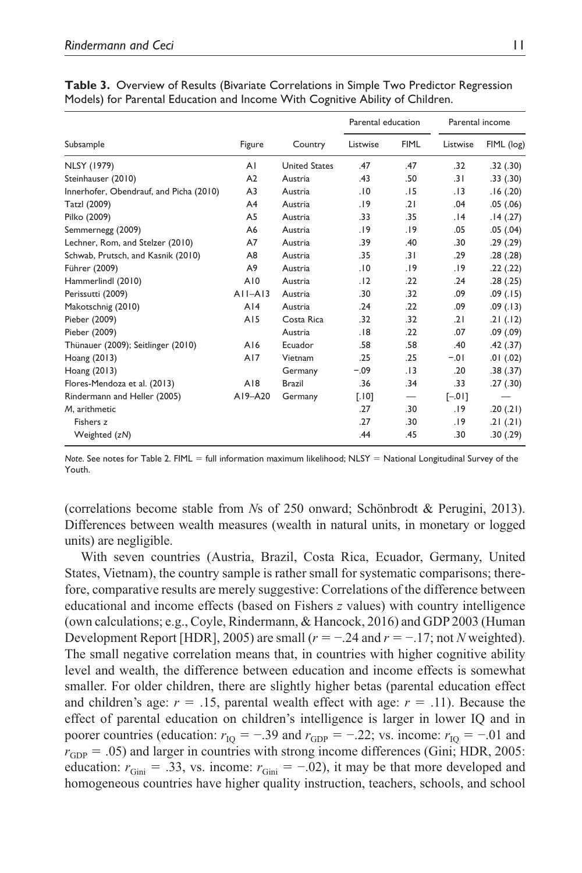|                                         |                |                      | Parental education |             |          | Parental income |
|-----------------------------------------|----------------|----------------------|--------------------|-------------|----------|-----------------|
| Subsample                               | Figure         | Country              | Listwise           | <b>FIML</b> | Listwise | FIML (log)      |
| <b>NLSY (1979)</b>                      | AI             | <b>United States</b> | .47                | .47         | .32      | .32(.30)        |
| Steinhauser (2010)                      | A <sub>2</sub> | Austria              | .43                | .50         | .31      | .33(.30)        |
| Innerhofer, Obendrauf, and Picha (2010) | A <sub>3</sub> | Austria              | .10                | .15         | .13      | .16(.20)        |
| Tatzl (2009)                            | A <sub>4</sub> | Austria              | .19                | .21         | .04      | .05(.06)        |
| Pilko (2009)                            | A <sub>5</sub> | Austria              | .33                | .35         | 14.      | .14 (.27)       |
| Semmernegg (2009)                       | A6             | Austria              | .19                | .19         | .05      | .05(.04)        |
| Lechner, Rom, and Stelzer (2010)        | A7             | Austria              | .39                | .40         | .30      | .29 (.29)       |
| Schwab, Prutsch, and Kasnik (2010)      | A <sub>8</sub> | Austria              | .35                | .31         | .29      | .28 (.28)       |
| Führer (2009)                           | A <sub>9</sub> | Austria              | .10                | .19         | .19      | .22(.22)        |
| Hammerlindl (2010)                      | A10            | Austria              | .12                | .22         | .24      | .28 (.25)       |
| Perissutti (2009)                       | $AII-AI3$      | Austria              | .30                | .32         | .09      | .09(.15)        |
| Makotschnig (2010)                      | A14            | Austria              | .24                | .22         | .09      | .09 (.13)       |
| Pieber (2009)                           | A15            | Costa Rica           | .32                | .32         | .21      | .21(.12)        |
| Pieber (2009)                           |                | Austria              | .18                | .22         | .07      | .09(.09)        |
| Thünauer (2009); Seitlinger (2010)      | A16            | Ecuador              | .58                | .58         | .40      | .42 (.37)       |
| Hoang (2013)                            | AI7            | Vietnam              | .25                | .25         | $-.01$   | .01(.02)        |
| Hoang (2013)                            |                | Germany              | $-.09$             | .13         | .20      | .38 (.37)       |
| Flores-Mendoza et al. (2013)            | A18            | <b>Brazil</b>        | .36                | .34         | .33      | .27 (.30)       |
| Rindermann and Heller (2005)            | $AI9 - A20$    | Germany              | $[.10]$            |             | $[-.01]$ |                 |
| M. arithmetic                           |                |                      | .27                | .30         | .19      | .20(.21)        |
| Fishers z                               |                |                      | .27                | .30         | .19      | .21(.21)        |
| Weighted (zN)                           |                |                      | .44                | .45         | .30      | .30 (.29)       |

**Table 3.** Overview of Results (Bivariate Correlations in Simple Two Predictor Regression Models) for Parental Education and Income With Cognitive Ability of Children.

*Note*. See notes for Table 2. FIML = full information maximum likelihood; NLSY = National Longitudinal Survey of the Youth.

(correlations become stable from *N*s of 250 onward; Schönbrodt & Perugini, 2013). Differences between wealth measures (wealth in natural units, in monetary or logged units) are negligible.

With seven countries (Austria, Brazil, Costa Rica, Ecuador, Germany, United States, Vietnam), the country sample is rather small for systematic comparisons; therefore, comparative results are merely suggestive: Correlations of the difference between educational and income effects (based on Fishers *z* values) with country intelligence (own calculations; e.g., Coyle, Rindermann, & Hancock, 2016) and GDP 2003 (Human Development Report [HDR], 2005) are small  $(r = -0.24$  and  $r = -0.17$ ; not *N* weighted). The small negative correlation means that, in countries with higher cognitive ability level and wealth, the difference between education and income effects is somewhat smaller. For older children, there are slightly higher betas (parental education effect and children's age:  $r = .15$ , parental wealth effect with age:  $r = .11$ ). Because the effect of parental education on children's intelligence is larger in lower IQ and in poorer countries (education:  $r_{\text{IO}} = -.39$  and  $r_{\text{GDP}} = -.22$ ; vs. income:  $r_{\text{IO}} = -.01$  and  $r_{GDP} = .05$ ) and larger in countries with strong income differences (Gini; HDR, 2005: education:  $r_{Gini} = .33$ , vs. income:  $r_{Gini} = -.02$ ), it may be that more developed and homogeneous countries have higher quality instruction, teachers, schools, and school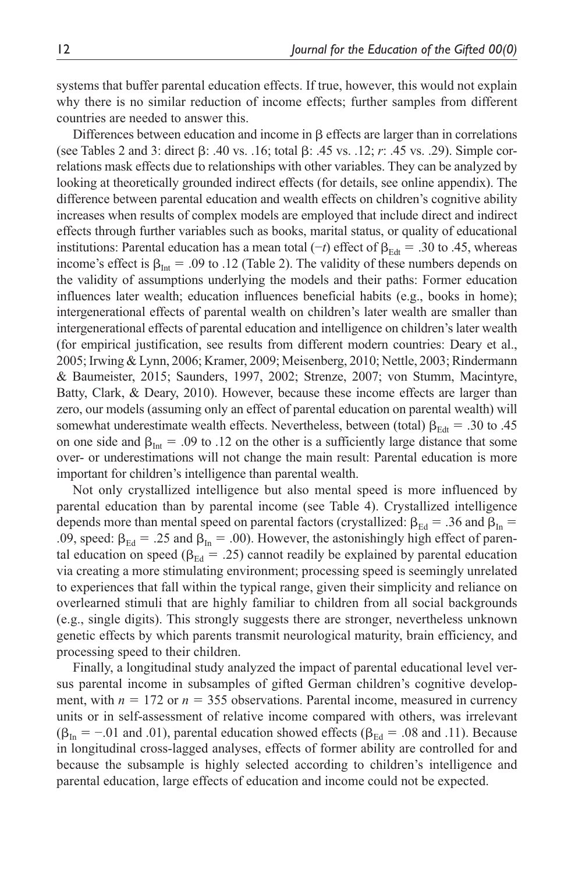systems that buffer parental education effects. If true, however, this would not explain why there is no similar reduction of income effects; further samples from different countries are needed to answer this.

Differences between education and income in  $\beta$  effects are larger than in correlations (see Tables 2 and 3: direct β: .40 vs. .16; total β: .45 vs. .12; *r*: .45 vs. .29). Simple correlations mask effects due to relationships with other variables. They can be analyzed by looking at theoretically grounded indirect effects (for details, see online appendix). The difference between parental education and wealth effects on children's cognitive ability increases when results of complex models are employed that include direct and indirect effects through further variables such as books, marital status, or quality of educational institutions: Parental education has a mean total (−*t*) effect of  $β_{Edt} = .30$  to .45, whereas income's effect is  $\beta_{\text{Int}} = .09$  to .12 (Table 2). The validity of these numbers depends on the validity of assumptions underlying the models and their paths: Former education influences later wealth; education influences beneficial habits (e.g., books in home); intergenerational effects of parental wealth on children's later wealth are smaller than intergenerational effects of parental education and intelligence on children's later wealth (for empirical justification, see results from different modern countries: Deary et al., 2005; Irwing & Lynn, 2006; Kramer, 2009; Meisenberg, 2010; Nettle, 2003; Rindermann & Baumeister, 2015; Saunders, 1997, 2002; Strenze, 2007; von Stumm, Macintyre, Batty, Clark, & Deary, 2010). However, because these income effects are larger than zero, our models (assuming only an effect of parental education on parental wealth) will somewhat underestimate wealth effects. Nevertheless, between (total)  $\beta_{\text{Edt}} = .30$  to .45 on one side and  $\beta_{\text{Int}} = .09$  to .12 on the other is a sufficiently large distance that some over- or underestimations will not change the main result: Parental education is more important for children's intelligence than parental wealth.

Not only crystallized intelligence but also mental speed is more influenced by parental education than by parental income (see Table 4). Crystallized intelligence depends more than mental speed on parental factors (crystallized:  $\beta_{Ed} = .36$  and  $\beta_{In} =$ .09, speed:  $\beta_{Ed} = .25$  and  $\beta_{In} = .00$ ). However, the astonishingly high effect of parental education on speed ( $\beta_{Ed} = .25$ ) cannot readily be explained by parental education via creating a more stimulating environment; processing speed is seemingly unrelated to experiences that fall within the typical range, given their simplicity and reliance on overlearned stimuli that are highly familiar to children from all social backgrounds (e.g., single digits). This strongly suggests there are stronger, nevertheless unknown genetic effects by which parents transmit neurological maturity, brain efficiency, and processing speed to their children.

Finally, a longitudinal study analyzed the impact of parental educational level versus parental income in subsamples of gifted German children's cognitive development, with  $n = 172$  or  $n = 355$  observations. Parental income, measured in currency units or in self-assessment of relative income compared with others, was irrelevant  $(\beta_{In} = -0.01$  and .01), parental education showed effects ( $\beta_{Ed} = .08$  and .11). Because in longitudinal cross-lagged analyses, effects of former ability are controlled for and because the subsample is highly selected according to children's intelligence and parental education, large effects of education and income could not be expected.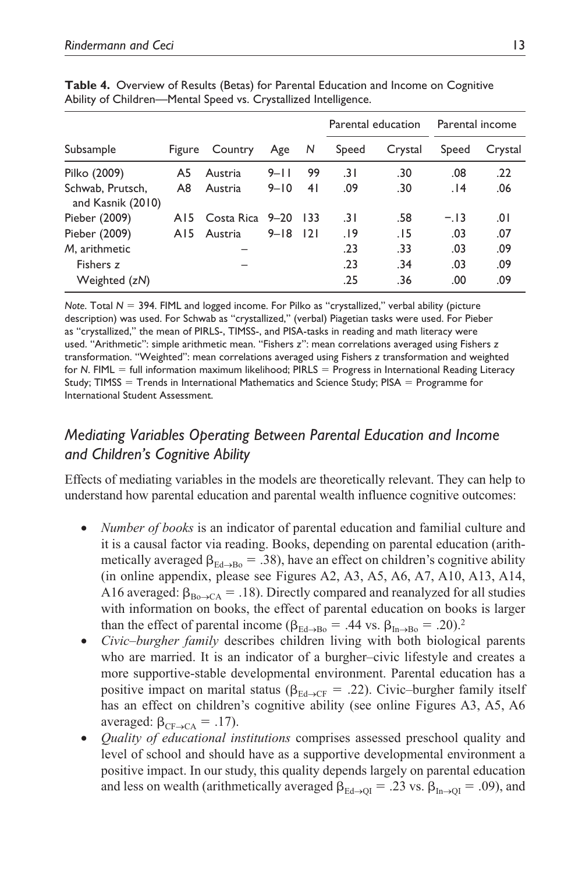|                                       |        |                 |          |      | Parental education |         | Parental income |         |
|---------------------------------------|--------|-----------------|----------|------|--------------------|---------|-----------------|---------|
| Subsample                             | Figure | Country         | Age      | N    | Speed              | Crystal | Speed           | Crystal |
| Pilko (2009)                          | A5     | Austria         | $9 - 11$ | 99   | .31                | .30     | .08             | .22     |
| Schwab, Prutsch,<br>and Kasnik (2010) | A8     | Austria         | $9 - 10$ | 41   | .09                | .30     | .14             | .06     |
| Pieber (2009)                         | AI5.   | Costa Rica 9-20 |          | -133 | .31                | .58     | $-.13$          | 0۱.     |
| Pieber (2009)                         | AI5    | Austria         | $9 - 18$ | 2    | . 19               | .15     | .03             | .07     |
| M. arithmetic                         |        |                 |          |      | .23                | .33     | .03             | .09     |
| Fishers z                             |        |                 |          |      | .23                | 34      | .03             | .09     |
| Weighted (zN)                         |        |                 |          |      | .25                | .36     | .00             | .09     |

**Table 4.** Overview of Results (Betas) for Parental Education and Income on Cognitive Ability of Children—Mental Speed vs. Crystallized Intelligence.

*Note*. Total *N* = 394. FIML and logged income. For Pilko as "crystallized," verbal ability (picture description) was used. For Schwab as "crystallized," (verbal) Piagetian tasks were used. For Pieber as "crystallized," the mean of PIRLS-, TIMSS-, and PISA-tasks in reading and math literacy were used. "Arithmetic": simple arithmetic mean. "Fishers *z*": mean correlations averaged using Fishers *z* transformation. "Weighted": mean correlations averaged using Fishers *z* transformation and weighted for *N*. FIML = full information maximum likelihood; PIRLS = Progress in International Reading Literacy Study; TIMSS = Trends in International Mathematics and Science Study; PISA = Programme for International Student Assessment.

# *Mediating Variables Operating Between Parental Education and Income and Children's Cognitive Ability*

Effects of mediating variables in the models are theoretically relevant. They can help to understand how parental education and parental wealth influence cognitive outcomes:

- *Number of books* is an indicator of parental education and familial culture and it is a causal factor via reading. Books, depending on parental education (arithmetically averaged  $\beta_{Ed\rightarrow Bo} = .38$ ), have an effect on children's cognitive ability (in online appendix, please see Figures A2, A3, A5, A6, A7, A10, A13, A14, A16 averaged:  $\beta_{\text{Bo}\rightarrow\text{CA}} = .18$ ). Directly compared and reanalyzed for all studies with information on books, the effect of parental education on books is larger than the effect of parental income ( $\beta_{Ed\rightarrow Bo} = .44$  vs.  $\beta_{In\rightarrow Bo} = .20$ ).<sup>2</sup>
- *Civic–burgher family* describes children living with both biological parents who are married. It is an indicator of a burgher–civic lifestyle and creates a more supportive-stable developmental environment. Parental education has a positive impact on marital status ( $\beta_{Ed\rightarrow CF}$  = .22). Civic–burgher family itself has an effect on children's cognitive ability (see online Figures A3, A5, A6 averaged:  $β_{CF\rightarrow CA} = .17$ ).
- *Quality of educational institutions* comprises assessed preschool quality and level of school and should have as a supportive developmental environment a positive impact. In our study, this quality depends largely on parental education and less on wealth (arithmetically averaged  $\beta_{Ed\rightarrow OI} = .23$  vs.  $\beta_{In\rightarrow OI} = .09$ ), and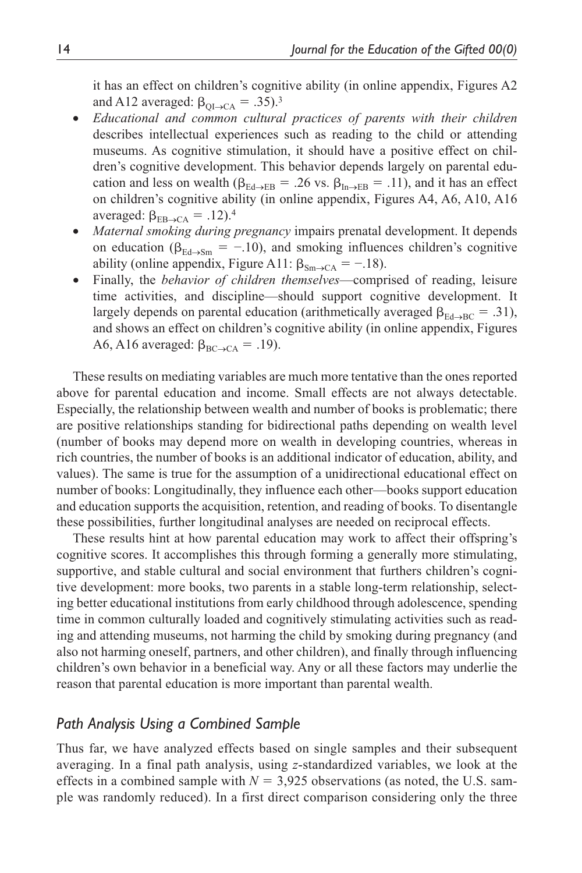it has an effect on children's cognitive ability (in online appendix, Figures A2 and A12 averaged:  $\beta_{\text{OI}\rightarrow\text{CA}} = .35$ ).<sup>3</sup>

- *Educational and common cultural practices of parents with their children* describes intellectual experiences such as reading to the child or attending museums. As cognitive stimulation, it should have a positive effect on children's cognitive development. This behavior depends largely on parental education and less on wealth ( $\beta_{Ed\rightarrow EB}$  = .26 vs.  $\beta_{In\rightarrow EB}$  = .11), and it has an effect on children's cognitive ability (in online appendix, Figures A4, A6, A10, A16 averaged:  $β_{EB\rightarrow CA} = .12).4$
- *Maternal smoking during pregnancy* impairs prenatal development. It depends on education ( $\beta_{Ed\rightarrow Sm}$  = -.10), and smoking influences children's cognitive ability (online appendix, Figure A11:  $\beta_{\text{Sm}\rightarrow\text{CA}} = -.18$ ).
- Finally, the *behavior of children themselves*—comprised of reading, leisure time activities, and discipline—should support cognitive development. It largely depends on parental education (arithmetically averaged  $\beta_{\text{Ed}\rightarrow\text{BC}} = .31$ ), and shows an effect on children's cognitive ability (in online appendix, Figures A6, A16 averaged:  $\beta_{BC\rightarrow CA} = .19$ ).

These results on mediating variables are much more tentative than the ones reported above for parental education and income. Small effects are not always detectable. Especially, the relationship between wealth and number of books is problematic; there are positive relationships standing for bidirectional paths depending on wealth level (number of books may depend more on wealth in developing countries, whereas in rich countries, the number of books is an additional indicator of education, ability, and values). The same is true for the assumption of a unidirectional educational effect on number of books: Longitudinally, they influence each other—books support education and education supports the acquisition, retention, and reading of books. To disentangle these possibilities, further longitudinal analyses are needed on reciprocal effects.

These results hint at how parental education may work to affect their offspring's cognitive scores. It accomplishes this through forming a generally more stimulating, supportive, and stable cultural and social environment that furthers children's cognitive development: more books, two parents in a stable long-term relationship, selecting better educational institutions from early childhood through adolescence, spending time in common culturally loaded and cognitively stimulating activities such as reading and attending museums, not harming the child by smoking during pregnancy (and also not harming oneself, partners, and other children), and finally through influencing children's own behavior in a beneficial way. Any or all these factors may underlie the reason that parental education is more important than parental wealth.

## *Path Analysis Using a Combined Sample*

Thus far, we have analyzed effects based on single samples and their subsequent averaging. In a final path analysis, using *z*-standardized variables, we look at the effects in a combined sample with  $N = 3,925$  observations (as noted, the U.S. sample was randomly reduced). In a first direct comparison considering only the three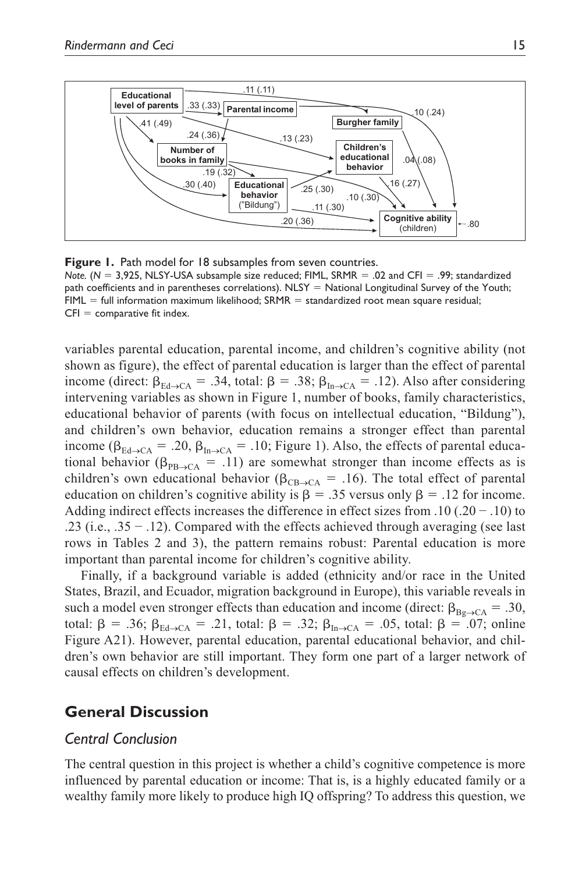

**Figure 1.** Path model for 18 subsamples from seven countries. *Note.* (*N* = 3,925, NLSY-USA subsample size reduced; FIML, SRMR = .02 and CFI = .99; standardized path coefficients and in parentheses correlations). NLSY = National Longitudinal Survey of the Youth; FIML = full information maximum likelihood; SRMR = standardized root mean square residual;  $CFI = \text{comparative fit index.}$ 

variables parental education, parental income, and children's cognitive ability (not shown as figure), the effect of parental education is larger than the effect of parental income (direct:  $\beta_{Ed\rightarrow CA} = .34$ , total:  $\beta = .38$ ;  $\beta_{In\rightarrow CA} = .12$ ). Also after considering intervening variables as shown in Figure 1, number of books, family characteristics, educational behavior of parents (with focus on intellectual education, "Bildung"), and children's own behavior, education remains a stronger effect than parental income ( $\beta_{Ed\rightarrow CA} = .20$ ,  $\beta_{In\rightarrow CA} = .10$ ; Figure 1). Also, the effects of parental educational behavior ( $\beta_{PB\rightarrow CA}$  = .11) are somewhat stronger than income effects as is children's own educational behavior ( $\beta_{\text{CB}\rightarrow\text{CA}}$  = .16). The total effect of parental education on children's cognitive ability is  $\beta = .35$  versus only  $\beta = .12$  for income. Adding indirect effects increases the difference in effect sizes from  $.10$  (.20 – .10) to .23 (i.e., .35 − .12). Compared with the effects achieved through averaging (see last rows in Tables 2 and 3), the pattern remains robust: Parental education is more important than parental income for children's cognitive ability.

Finally, if a background variable is added (ethnicity and/or race in the United States, Brazil, and Ecuador, migration background in Europe), this variable reveals in such a model even stronger effects than education and income (direct:  $\beta_{\text{Be}\rightarrow\text{CA}} = .30$ , total: β = .36; β<sub>Ed→CA</sub> = .21, total: β = .32; β<sub>In→CA</sub> = .05, total: β = .07; online Figure A21). However, parental education, parental educational behavior, and children's own behavior are still important. They form one part of a larger network of causal effects on children's development.

# **General Discussion**

## *Central Conclusion*

The central question in this project is whether a child's cognitive competence is more influenced by parental education or income: That is, is a highly educated family or a wealthy family more likely to produce high IQ offspring? To address this question, we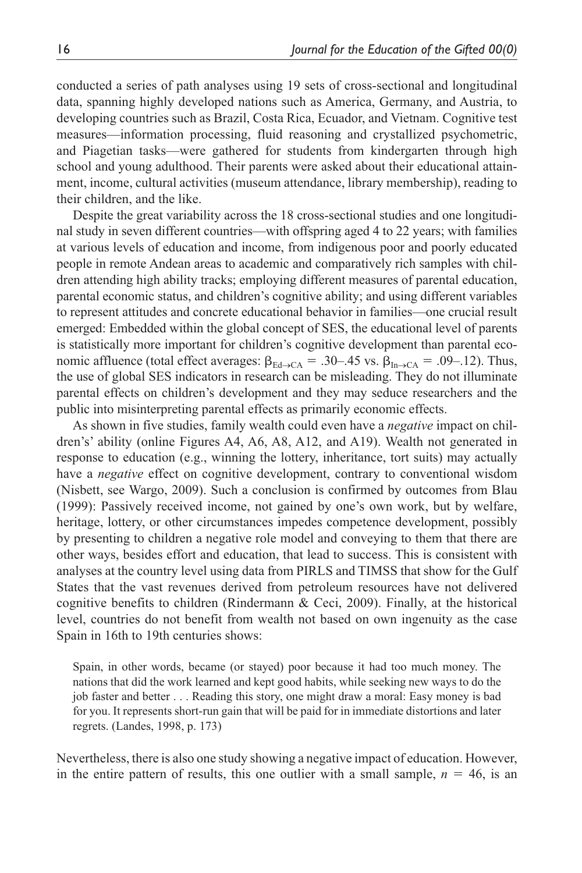conducted a series of path analyses using 19 sets of cross-sectional and longitudinal data, spanning highly developed nations such as America, Germany, and Austria, to developing countries such as Brazil, Costa Rica, Ecuador, and Vietnam. Cognitive test measures—information processing, fluid reasoning and crystallized psychometric, and Piagetian tasks—were gathered for students from kindergarten through high school and young adulthood. Their parents were asked about their educational attainment, income, cultural activities (museum attendance, library membership), reading to their children, and the like.

Despite the great variability across the 18 cross-sectional studies and one longitudinal study in seven different countries—with offspring aged 4 to 22 years; with families at various levels of education and income, from indigenous poor and poorly educated people in remote Andean areas to academic and comparatively rich samples with children attending high ability tracks; employing different measures of parental education, parental economic status, and children's cognitive ability; and using different variables to represent attitudes and concrete educational behavior in families—one crucial result emerged: Embedded within the global concept of SES, the educational level of parents is statistically more important for children's cognitive development than parental economic affluence (total effect averages:  $\beta_{\text{Ed}\rightarrow\text{CA}} = .30-.45$  vs.  $\beta_{\text{In}\rightarrow\text{CA}} = .09-.12$ ). Thus, the use of global SES indicators in research can be misleading. They do not illuminate parental effects on children's development and they may seduce researchers and the public into misinterpreting parental effects as primarily economic effects.

As shown in five studies, family wealth could even have a *negative* impact on children's' ability (online Figures A4, A6, A8, A12, and A19). Wealth not generated in response to education (e.g., winning the lottery, inheritance, tort suits) may actually have a *negative* effect on cognitive development, contrary to conventional wisdom (Nisbett, see Wargo, 2009). Such a conclusion is confirmed by outcomes from Blau (1999): Passively received income, not gained by one's own work, but by welfare, heritage, lottery, or other circumstances impedes competence development, possibly by presenting to children a negative role model and conveying to them that there are other ways, besides effort and education, that lead to success. This is consistent with analyses at the country level using data from PIRLS and TIMSS that show for the Gulf States that the vast revenues derived from petroleum resources have not delivered cognitive benefits to children (Rindermann & Ceci, 2009). Finally, at the historical level, countries do not benefit from wealth not based on own ingenuity as the case Spain in 16th to 19th centuries shows:

Spain, in other words, became (or stayed) poor because it had too much money. The nations that did the work learned and kept good habits, while seeking new ways to do the job faster and better . . . Reading this story, one might draw a moral: Easy money is bad for you. It represents short-run gain that will be paid for in immediate distortions and later regrets. (Landes, 1998, p. 173)

Nevertheless, there is also one study showing a negative impact of education. However, in the entire pattern of results, this one outlier with a small sample,  $n = 46$ , is an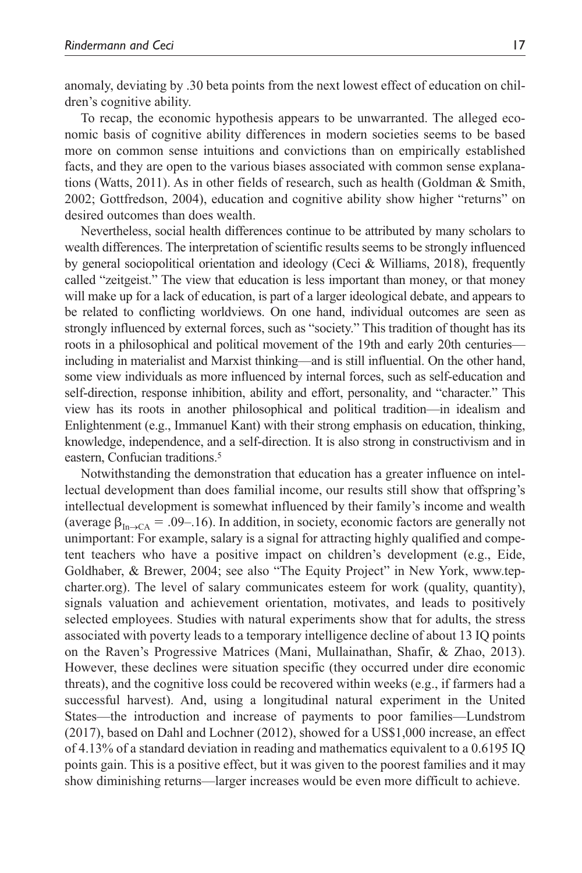anomaly, deviating by .30 beta points from the next lowest effect of education on children's cognitive ability.

To recap, the economic hypothesis appears to be unwarranted. The alleged economic basis of cognitive ability differences in modern societies seems to be based more on common sense intuitions and convictions than on empirically established facts, and they are open to the various biases associated with common sense explanations (Watts, 2011). As in other fields of research, such as health (Goldman & Smith, 2002; Gottfredson, 2004), education and cognitive ability show higher "returns" on desired outcomes than does wealth.

Nevertheless, social health differences continue to be attributed by many scholars to wealth differences. The interpretation of scientific results seems to be strongly influenced by general sociopolitical orientation and ideology (Ceci & Williams, 2018), frequently called "zeitgeist." The view that education is less important than money, or that money will make up for a lack of education, is part of a larger ideological debate, and appears to be related to conflicting worldviews. On one hand, individual outcomes are seen as strongly influenced by external forces, such as "society." This tradition of thought has its roots in a philosophical and political movement of the 19th and early 20th centuries including in materialist and Marxist thinking—and is still influential. On the other hand, some view individuals as more influenced by internal forces, such as self-education and self-direction, response inhibition, ability and effort, personality, and "character." This view has its roots in another philosophical and political tradition—in idealism and Enlightenment (e.g., Immanuel Kant) with their strong emphasis on education, thinking, knowledge, independence, and a self-direction. It is also strong in constructivism and in eastern, Confucian traditions.<sup>5</sup>

Notwithstanding the demonstration that education has a greater influence on intellectual development than does familial income, our results still show that offspring's intellectual development is somewhat influenced by their family's income and wealth (average  $\beta_{\text{In}\rightarrow\text{CA}} = .09-16$ ). In addition, in society, economic factors are generally not unimportant: For example, salary is a signal for attracting highly qualified and competent teachers who have a positive impact on children's development (e.g., Eide, Goldhaber, & Brewer, 2004; see also "The Equity Project" in New York, [www.tep](www.tepcharter.org)[charter.org\)](www.tepcharter.org). The level of salary communicates esteem for work (quality, quantity), signals valuation and achievement orientation, motivates, and leads to positively selected employees. Studies with natural experiments show that for adults, the stress associated with poverty leads to a temporary intelligence decline of about 13 IQ points on the Raven's Progressive Matrices (Mani, Mullainathan, Shafir, & Zhao, 2013). However, these declines were situation specific (they occurred under dire economic threats), and the cognitive loss could be recovered within weeks (e.g., if farmers had a successful harvest). And, using a longitudinal natural experiment in the United States—the introduction and increase of payments to poor families—Lundstrom (2017), based on Dahl and Lochner (2012), showed for a US\$1,000 increase, an effect of 4.13% of a standard deviation in reading and mathematics equivalent to a 0.6195 IQ points gain. This is a positive effect, but it was given to the poorest families and it may show diminishing returns—larger increases would be even more difficult to achieve.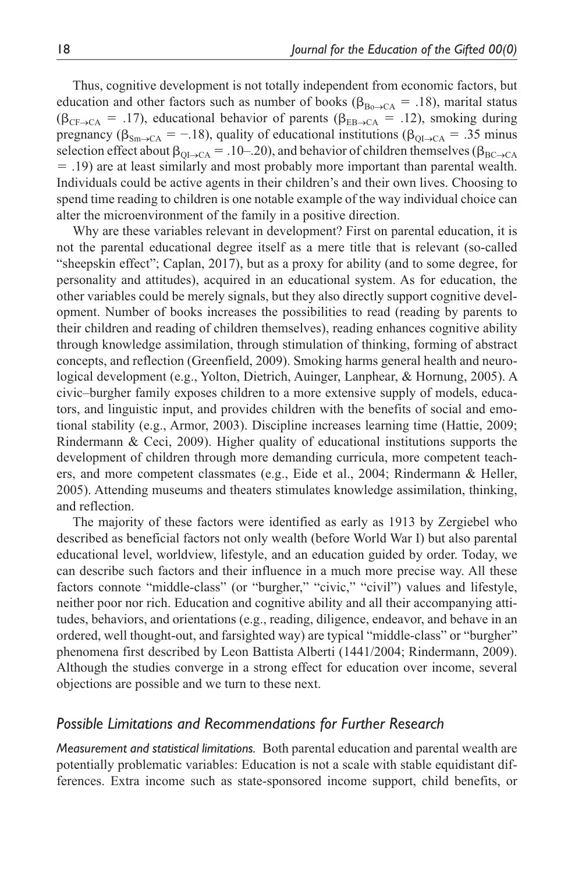Thus, cognitive development is not totally independent from economic factors, but education and other factors such as number of books ( $\beta_{B_0 \rightarrow CA} = .18$ ), marital status  $(\beta_{CF\rightarrow CA} = .17)$ , educational behavior of parents  $(\beta_{EB\rightarrow CA} = .12)$ , smoking during pregnancy ( $\beta_{\rm Sm\rightarrow CA}$  = -.18), quality of educational institutions ( $\beta_{\rm OI\rightarrow CA}$  = .35 minus selection effect about  $\beta_{\text{OI}\rightarrow\text{CA}} = .10-.20$ ), and behavior of children themselves ( $\beta_{\text{BC}\rightarrow\text{CA}}$ = .19) are at least similarly and most probably more important than parental wealth. Individuals could be active agents in their children's and their own lives. Choosing to spend time reading to children is one notable example of the way individual choice can alter the microenvironment of the family in a positive direction.

Why are these variables relevant in development? First on parental education, it is not the parental educational degree itself as a mere title that is relevant (so-called "sheepskin effect"; Caplan, 2017), but as a proxy for ability (and to some degree, for personality and attitudes), acquired in an educational system. As for education, the other variables could be merely signals, but they also directly support cognitive development. Number of books increases the possibilities to read (reading by parents to their children and reading of children themselves), reading enhances cognitive ability through knowledge assimilation, through stimulation of thinking, forming of abstract concepts, and reflection (Greenfield, 2009). Smoking harms general health and neurological development (e.g., Yolton, Dietrich, Auinger, Lanphear, & Hornung, 2005). A civic–burgher family exposes children to a more extensive supply of models, educators, and linguistic input, and provides children with the benefits of social and emotional stability (e.g., Armor, 2003). Discipline increases learning time (Hattie, 2009; Rindermann & Ceci, 2009). Higher quality of educational institutions supports the development of children through more demanding curricula, more competent teachers, and more competent classmates (e.g., Eide et al., 2004; Rindermann & Heller, 2005). Attending museums and theaters stimulates knowledge assimilation, thinking, and reflection.

The majority of these factors were identified as early as 1913 by Zergiebel who described as beneficial factors not only wealth (before World War I) but also parental educational level, worldview, lifestyle, and an education guided by order. Today, we can describe such factors and their influence in a much more precise way. All these factors connote "middle-class" (or "burgher," "civic," "civil") values and lifestyle, neither poor nor rich. Education and cognitive ability and all their accompanying attitudes, behaviors, and orientations (e.g., reading, diligence, endeavor, and behave in an ordered, well thought-out, and farsighted way) are typical "middle-class" or "burgher" phenomena first described by Leon Battista Alberti (1441/2004; Rindermann, 2009). Although the studies converge in a strong effect for education over income, several objections are possible and we turn to these next.

## *Possible Limitations and Recommendations for Further Research*

*Measurement and statistical limitations.* Both parental education and parental wealth are potentially problematic variables: Education is not a scale with stable equidistant differences. Extra income such as state-sponsored income support, child benefits, or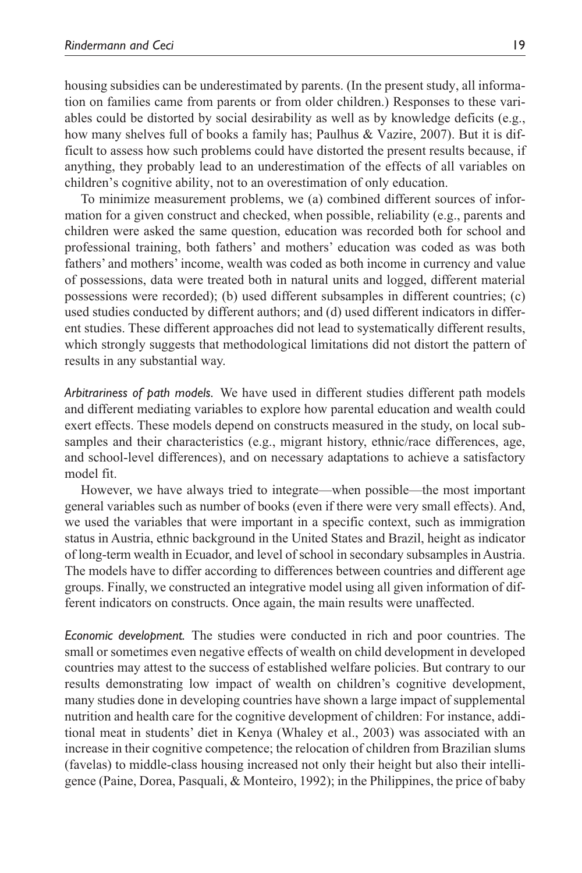housing subsidies can be underestimated by parents. (In the present study, all information on families came from parents or from older children.) Responses to these variables could be distorted by social desirability as well as by knowledge deficits (e.g., how many shelves full of books a family has; Paulhus & Vazire, 2007). But it is difficult to assess how such problems could have distorted the present results because, if anything, they probably lead to an underestimation of the effects of all variables on children's cognitive ability, not to an overestimation of only education.

To minimize measurement problems, we (a) combined different sources of information for a given construct and checked, when possible, reliability (e.g., parents and children were asked the same question, education was recorded both for school and professional training, both fathers' and mothers' education was coded as was both fathers' and mothers' income, wealth was coded as both income in currency and value of possessions, data were treated both in natural units and logged, different material possessions were recorded); (b) used different subsamples in different countries; (c) used studies conducted by different authors; and (d) used different indicators in different studies. These different approaches did not lead to systematically different results, which strongly suggests that methodological limitations did not distort the pattern of results in any substantial way.

*Arbitrariness of path models.* We have used in different studies different path models and different mediating variables to explore how parental education and wealth could exert effects. These models depend on constructs measured in the study, on local subsamples and their characteristics (e.g., migrant history, ethnic/race differences, age, and school-level differences), and on necessary adaptations to achieve a satisfactory model fit.

However, we have always tried to integrate—when possible—the most important general variables such as number of books (even if there were very small effects). And, we used the variables that were important in a specific context, such as immigration status in Austria, ethnic background in the United States and Brazil, height as indicator of long-term wealth in Ecuador, and level of school in secondary subsamples in Austria. The models have to differ according to differences between countries and different age groups. Finally, we constructed an integrative model using all given information of different indicators on constructs. Once again, the main results were unaffected.

*Economic development.* The studies were conducted in rich and poor countries. The small or sometimes even negative effects of wealth on child development in developed countries may attest to the success of established welfare policies. But contrary to our results demonstrating low impact of wealth on children's cognitive development, many studies done in developing countries have shown a large impact of supplemental nutrition and health care for the cognitive development of children: For instance, additional meat in students' diet in Kenya (Whaley et al., 2003) was associated with an increase in their cognitive competence; the relocation of children from Brazilian slums (favelas) to middle-class housing increased not only their height but also their intelligence (Paine, Dorea, Pasquali, & Monteiro, 1992); in the Philippines, the price of baby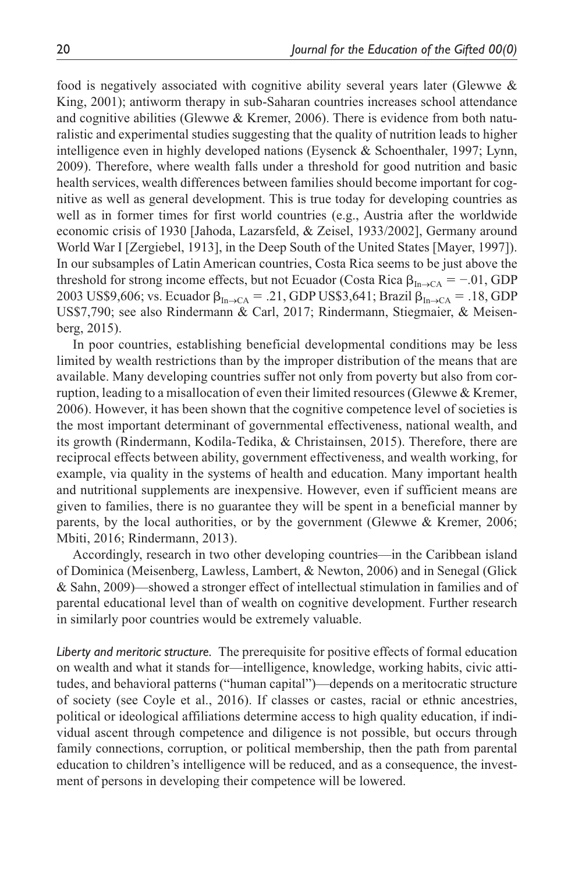food is negatively associated with cognitive ability several years later (Glewwe & King, 2001); antiworm therapy in sub-Saharan countries increases school attendance and cognitive abilities (Glewwe & Kremer, 2006). There is evidence from both naturalistic and experimental studies suggesting that the quality of nutrition leads to higher intelligence even in highly developed nations (Eysenck & Schoenthaler, 1997; Lynn, 2009). Therefore, where wealth falls under a threshold for good nutrition and basic health services, wealth differences between families should become important for cognitive as well as general development. This is true today for developing countries as well as in former times for first world countries (e.g., Austria after the worldwide economic crisis of 1930 [Jahoda, Lazarsfeld, & Zeisel, 1933/2002], Germany around World War I [Zergiebel, 1913], in the Deep South of the United States [Mayer, 1997]). In our subsamples of Latin American countries, Costa Rica seems to be just above the threshold for strong income effects, but not Ecuador (Costa Rica  $\beta_{\text{In}\rightarrow\text{CA}} = -.01$ , GDP 2003 US\$9,606; vs. Ecuador  $\beta_{In\to CA} = .21$ , GDP US\$3,641; Brazil  $\beta_{In\to CA} = .18$ , GDP US\$7,790; see also Rindermann & Carl, 2017; Rindermann, Stiegmaier, & Meisenberg, 2015).

In poor countries, establishing beneficial developmental conditions may be less limited by wealth restrictions than by the improper distribution of the means that are available. Many developing countries suffer not only from poverty but also from corruption, leading to a misallocation of even their limited resources (Glewwe  $&$  Kremer, 2006). However, it has been shown that the cognitive competence level of societies is the most important determinant of governmental effectiveness, national wealth, and its growth (Rindermann, Kodila-Tedika, & Christainsen, 2015). Therefore, there are reciprocal effects between ability, government effectiveness, and wealth working, for example, via quality in the systems of health and education. Many important health and nutritional supplements are inexpensive. However, even if sufficient means are given to families, there is no guarantee they will be spent in a beneficial manner by parents, by the local authorities, or by the government (Glewwe & Kremer, 2006; Mbiti, 2016; Rindermann, 2013).

Accordingly, research in two other developing countries—in the Caribbean island of Dominica (Meisenberg, Lawless, Lambert, & Newton, 2006) and in Senegal (Glick & Sahn, 2009)—showed a stronger effect of intellectual stimulation in families and of parental educational level than of wealth on cognitive development. Further research in similarly poor countries would be extremely valuable.

*Liberty and meritoric structure.* The prerequisite for positive effects of formal education on wealth and what it stands for—intelligence, knowledge, working habits, civic attitudes, and behavioral patterns ("human capital")—depends on a meritocratic structure of society (see Coyle et al., 2016). If classes or castes, racial or ethnic ancestries, political or ideological affiliations determine access to high quality education, if individual ascent through competence and diligence is not possible, but occurs through family connections, corruption, or political membership, then the path from parental education to children's intelligence will be reduced, and as a consequence, the investment of persons in developing their competence will be lowered.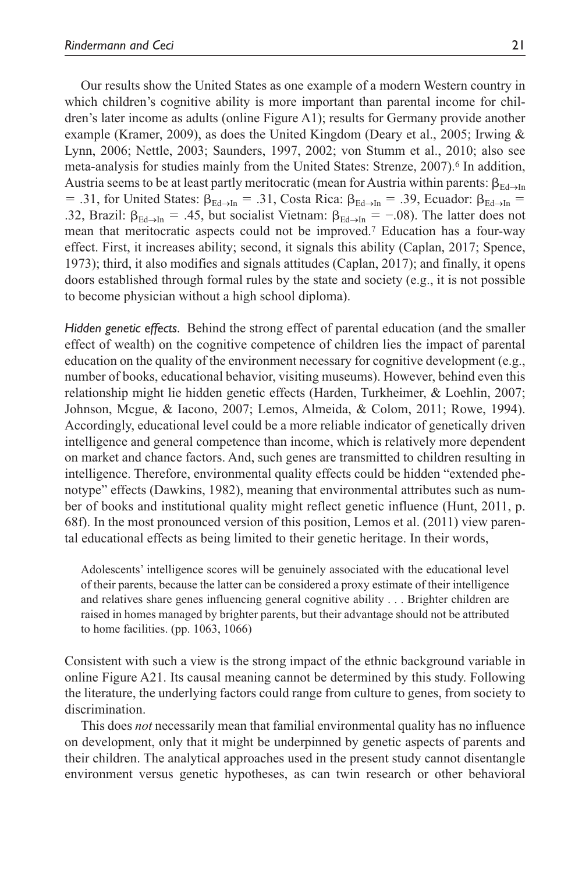Our results show the United States as one example of a modern Western country in which children's cognitive ability is more important than parental income for children's later income as adults (online Figure A1); results for Germany provide another example (Kramer, 2009), as does the United Kingdom (Deary et al., 2005; Irwing & Lynn, 2006; Nettle, 2003; Saunders, 1997, 2002; von Stumm et al., 2010; also see meta-analysis for studies mainly from the United States: Strenze, 2007).<sup>6</sup> In addition, Austria seems to be at least partly meritocratic (mean for Austria within parents:  $\beta_{\text{Ed}-\text{In}}$ = .31, for United States:  $\beta_{Ed\rightarrow In}$  = .31, Costa Rica:  $\beta_{Ed\rightarrow In}$  = .39, Ecuador:  $\beta_{Ed\rightarrow In}$  = .32, Brazil:  $\beta_{Ed\rightarrow In} = .45$ , but socialist Vietnam:  $\beta_{Ed\rightarrow In} = -.08$ ). The latter does not mean that meritocratic aspects could not be improved.7 Education has a four-way effect. First, it increases ability; second, it signals this ability (Caplan, 2017; Spence, 1973); third, it also modifies and signals attitudes (Caplan, 2017); and finally, it opens doors established through formal rules by the state and society (e.g., it is not possible to become physician without a high school diploma).

*Hidden genetic effects.* Behind the strong effect of parental education (and the smaller effect of wealth) on the cognitive competence of children lies the impact of parental education on the quality of the environment necessary for cognitive development (e.g., number of books, educational behavior, visiting museums). However, behind even this relationship might lie hidden genetic effects (Harden, Turkheimer, & Loehlin, 2007; Johnson, Mcgue, & Iacono, 2007; Lemos, Almeida, & Colom, 2011; Rowe, 1994). Accordingly, educational level could be a more reliable indicator of genetically driven intelligence and general competence than income, which is relatively more dependent on market and chance factors. And, such genes are transmitted to children resulting in intelligence. Therefore, environmental quality effects could be hidden "extended phenotype" effects (Dawkins, 1982), meaning that environmental attributes such as number of books and institutional quality might reflect genetic influence (Hunt, 2011, p. 68f). In the most pronounced version of this position, Lemos et al. (2011) view parental educational effects as being limited to their genetic heritage. In their words,

Adolescents' intelligence scores will be genuinely associated with the educational level of their parents, because the latter can be considered a proxy estimate of their intelligence and relatives share genes influencing general cognitive ability . . . Brighter children are raised in homes managed by brighter parents, but their advantage should not be attributed to home facilities. (pp. 1063, 1066)

Consistent with such a view is the strong impact of the ethnic background variable in online Figure A21. Its causal meaning cannot be determined by this study. Following the literature, the underlying factors could range from culture to genes, from society to discrimination.

This does *not* necessarily mean that familial environmental quality has no influence on development, only that it might be underpinned by genetic aspects of parents and their children. The analytical approaches used in the present study cannot disentangle environment versus genetic hypotheses, as can twin research or other behavioral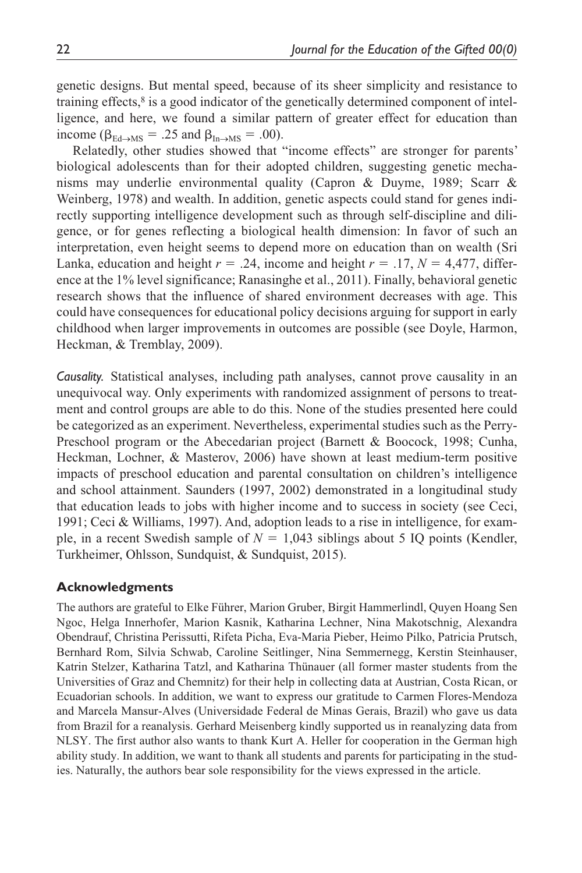genetic designs. But mental speed, because of its sheer simplicity and resistance to training effects,<sup>8</sup> is a good indicator of the genetically determined component of intelligence, and here, we found a similar pattern of greater effect for education than income ( $\beta_{\text{Ed}\rightarrow\text{MS}} = .25$  and  $\beta_{\text{In}\rightarrow\text{MS}} = .00$ ).

Relatedly, other studies showed that "income effects" are stronger for parents' biological adolescents than for their adopted children, suggesting genetic mechanisms may underlie environmental quality (Capron & Duyme, 1989; Scarr & Weinberg, 1978) and wealth. In addition, genetic aspects could stand for genes indirectly supporting intelligence development such as through self-discipline and diligence, or for genes reflecting a biological health dimension: In favor of such an interpretation, even height seems to depend more on education than on wealth (Sri Lanka, education and height  $r = .24$ , income and height  $r = .17$ ,  $N = 4,477$ , difference at the 1% level significance; Ranasinghe et al., 2011). Finally, behavioral genetic research shows that the influence of shared environment decreases with age. This could have consequences for educational policy decisions arguing for support in early childhood when larger improvements in outcomes are possible (see Doyle, Harmon, Heckman, & Tremblay, 2009).

*Causality.* Statistical analyses, including path analyses, cannot prove causality in an unequivocal way. Only experiments with randomized assignment of persons to treatment and control groups are able to do this. None of the studies presented here could be categorized as an experiment. Nevertheless, experimental studies such as the Perry-Preschool program or the Abecedarian project (Barnett & Boocock, 1998; Cunha, Heckman, Lochner, & Masterov, 2006) have shown at least medium-term positive impacts of preschool education and parental consultation on children's intelligence and school attainment. Saunders (1997, 2002) demonstrated in a longitudinal study that education leads to jobs with higher income and to success in society (see Ceci, 1991; Ceci & Williams, 1997). And, adoption leads to a rise in intelligence, for example, in a recent Swedish sample of  $N = 1,043$  siblings about 5 IQ points (Kendler, Turkheimer, Ohlsson, Sundquist, & Sundquist, 2015).

### **Acknowledgments**

The authors are grateful to Elke Führer, Marion Gruber, Birgit Hammerlindl, Quyen Hoang Sen Ngoc, Helga Innerhofer, Marion Kasnik, Katharina Lechner, Nina Makotschnig, Alexandra Obendrauf, Christina Perissutti, Rifeta Picha, Eva-Maria Pieber, Heimo Pilko, Patricia Prutsch, Bernhard Rom, Silvia Schwab, Caroline Seitlinger, Nina Semmernegg, Kerstin Steinhauser, Katrin Stelzer, Katharina Tatzl, and Katharina Thünauer (all former master students from the Universities of Graz and Chemnitz) for their help in collecting data at Austrian, Costa Rican, or Ecuadorian schools. In addition, we want to express our gratitude to Carmen Flores-Mendoza and Marcela Mansur-Alves (Universidade Federal de Minas Gerais, Brazil) who gave us data from Brazil for a reanalysis. Gerhard Meisenberg kindly supported us in reanalyzing data from NLSY. The first author also wants to thank Kurt A. Heller for cooperation in the German high ability study. In addition, we want to thank all students and parents for participating in the studies. Naturally, the authors bear sole responsibility for the views expressed in the article.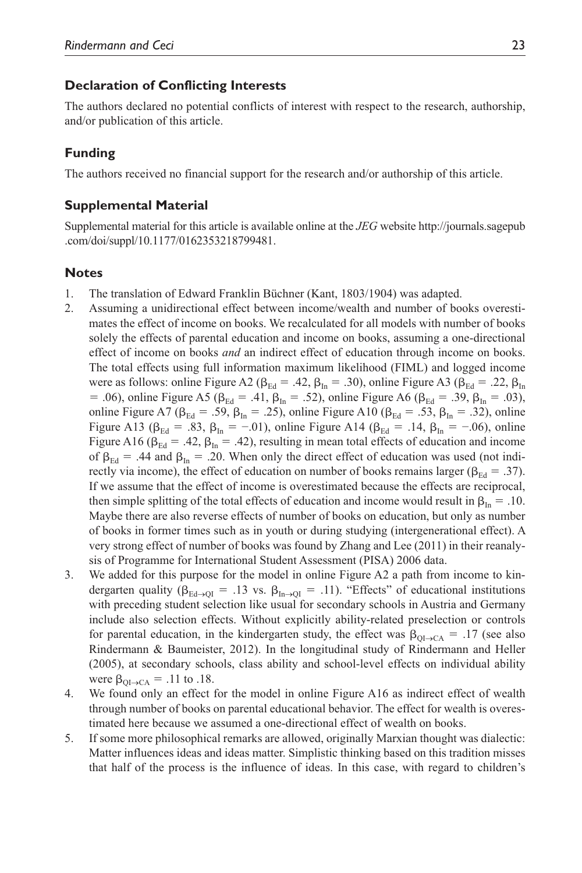### **Declaration of Conflicting Interests**

The authors declared no potential conflicts of interest with respect to the research, authorship, and/or publication of this article.

### **Funding**

The authors received no financial support for the research and/or authorship of this article.

### **Supplemental Material**

Supplemental material for this article is available online at the *JEG* website [http://journals.sagepub](http://journals.sagepub
.com/doi/suppl/10.1177/0162353218799481) [.com/doi/suppl/10.1177/0162353218799481.](http://journals.sagepub
.com/doi/suppl/10.1177/0162353218799481)

### **Notes**

- 1. The translation of Edward Franklin Büchner (Kant, 1803/1904) was adapted.
- 2. Assuming a unidirectional effect between income/wealth and number of books overestimates the effect of income on books. We recalculated for all models with number of books solely the effects of parental education and income on books, assuming a one-directional effect of income on books *and* an indirect effect of education through income on books. The total effects using full information maximum likelihood (FIML) and logged income were as follows: online Figure A2 ( $\beta_{Ed} = .42$ ,  $\beta_{In} = .30$ ), online Figure A3 ( $\beta_{Ed} = .22$ ,  $\beta_{In}$ = .06), online Figure A5 ( $\beta_{Ed}$  = .41,  $\beta_{In}$  = .52), online Figure A6 ( $\beta_{Ed}$  = .39,  $\beta_{In}$  = .03), online Figure A7 ( $\beta_{Ed} = .59$ ,  $\beta_{In} = .25$ ), online Figure A10 ( $\beta_{Ed} = .53$ ,  $\beta_{In} = .32$ ), online Figure A13 (β<sub>Ed</sub> = .83, β<sub>In</sub> = -.01), online Figure A14 (β<sub>Ed</sub> = .14, β<sub>In</sub> = -.06), online Figure A16 ( $\beta_{Ed} = .42$ ,  $\beta_{In} = .42$ ), resulting in mean total effects of education and income of  $\beta_{Ed}$  = .44 and  $\beta_{In}$  = .20. When only the direct effect of education was used (not indirectly via income), the effect of education on number of books remains larger ( $\beta_{Ed} = .37$ ). If we assume that the effect of income is overestimated because the effects are reciprocal, then simple splitting of the total effects of education and income would result in  $\beta_{\text{In}} = .10$ . Maybe there are also reverse effects of number of books on education, but only as number of books in former times such as in youth or during studying (intergenerational effect). A very strong effect of number of books was found by Zhang and Lee (2011) in their reanalysis of Programme for International Student Assessment (PISA) 2006 data.
- 3. We added for this purpose for the model in online Figure A2 a path from income to kindergarten quality ( $\beta_{Ed\rightarrow QI}$  = .13 vs.  $\beta_{In\rightarrow QI}$  = .11). "Effects" of educational institutions with preceding student selection like usual for secondary schools in Austria and Germany include also selection effects. Without explicitly ability-related preselection or controls for parental education, in the kindergarten study, the effect was  $\beta_{\text{OL}\rightarrow\text{CA}} = .17$  (see also Rindermann & Baumeister, 2012). In the longitudinal study of Rindermann and Heller (2005), at secondary schools, class ability and school-level effects on individual ability were  $\beta_{\text{OI}\rightarrow\text{CA}} = .11$  to .18.
- 4. We found only an effect for the model in online Figure A16 as indirect effect of wealth through number of books on parental educational behavior. The effect for wealth is overestimated here because we assumed a one-directional effect of wealth on books.
- 5. If some more philosophical remarks are allowed, originally Marxian thought was dialectic: Matter influences ideas and ideas matter. Simplistic thinking based on this tradition misses that half of the process is the influence of ideas. In this case, with regard to children's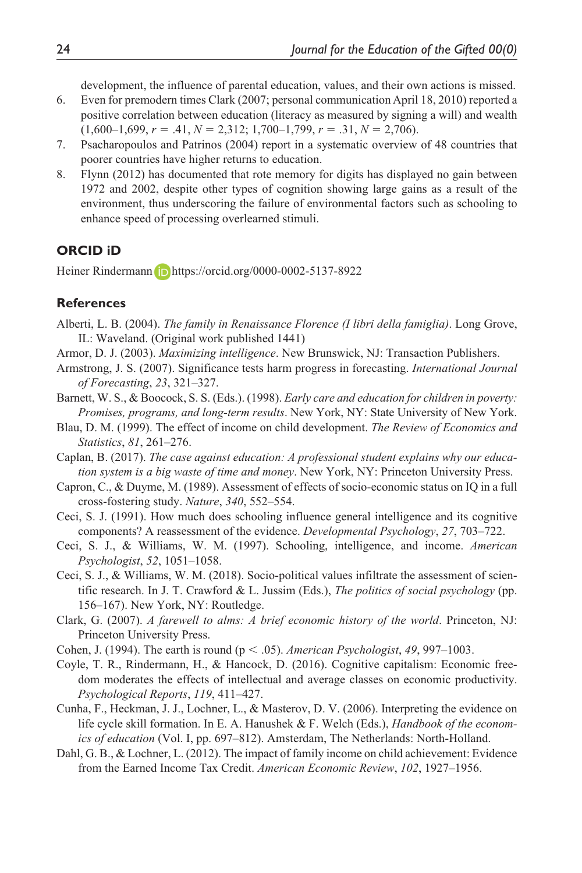development, the influence of parental education, values, and their own actions is missed.

- 6. Even for premodern times Clark (2007; personal communication April 18, 2010) reported a positive correlation between education (literacy as measured by signing a will) and wealth  $(1,600-1,699, r = .41, N = 2,312; 1,700-1,799, r = .31, N = 2,706).$
- 7. Psacharopoulos and Patrinos (2004) report in a systematic overview of 48 countries that poorer countries have higher returns to education.
- 8. Flynn (2012) has documented that rote memory for digits has displayed no gain between 1972 and 2002, despite other types of cognition showing large gains as a result of the environment, thus underscoring the failure of environmental factors such as schooling to enhance speed of processing overlearned stimuli.

### **ORCID iD**

Heiner Rindermann **h**ttps://orcid.org/0000-0002-5137-8922

#### **References**

- Alberti, L. B. (2004). *The family in Renaissance Florence (I libri della famiglia)*. Long Grove, IL: Waveland. (Original work published 1441)
- Armor, D. J. (2003). *Maximizing intelligence*. New Brunswick, NJ: Transaction Publishers.
- Armstrong, J. S. (2007). Significance tests harm progress in forecasting. *International Journal of Forecasting*, *23*, 321–327.
- Barnett, W. S., & Boocock, S. S. (Eds.). (1998). *Early care and education for children in poverty: Promises, programs, and long-term results*. New York, NY: State University of New York.
- Blau, D. M. (1999). The effect of income on child development. *The Review of Economics and Statistics*, *81*, 261–276.
- Caplan, B. (2017). *The case against education: A professional student explains why our education system is a big waste of time and money*. New York, NY: Princeton University Press.
- Capron, C., & Duyme, M. (1989). Assessment of effects of socio-economic status on IQ in a full cross-fostering study. *Nature*, *340*, 552–554.
- Ceci, S. J. (1991). How much does schooling influence general intelligence and its cognitive components? A reassessment of the evidence. *Developmental Psychology*, *27*, 703–722.
- Ceci, S. J., & Williams, W. M. (1997). Schooling, intelligence, and income. *American Psychologist*, *52*, 1051–1058.
- Ceci, S. J., & Williams, W. M. (2018). Socio-political values infiltrate the assessment of scientific research. In J. T. Crawford & L. Jussim (Eds.), *The politics of social psychology* (pp. 156–167). New York, NY: Routledge.
- Clark, G. (2007). *A farewell to alms: A brief economic history of the world*. Princeton, NJ: Princeton University Press.
- Cohen, J. (1994). The earth is round (p < .05). *American Psychologist*, *49*, 997–1003.
- Coyle, T. R., Rindermann, H., & Hancock, D. (2016). Cognitive capitalism: Economic freedom moderates the effects of intellectual and average classes on economic productivity. *Psychological Reports*, *119*, 411–427.
- Cunha, F., Heckman, J. J., Lochner, L., & Masterov, D. V. (2006). Interpreting the evidence on life cycle skill formation. In E. A. Hanushek & F. Welch (Eds.), *Handbook of the economics of education* (Vol. I, pp. 697–812). Amsterdam, The Netherlands: North-Holland.
- Dahl, G. B., & Lochner, L. (2012). The impact of family income on child achievement: Evidence from the Earned Income Tax Credit. *American Economic Review*, *102*, 1927–1956.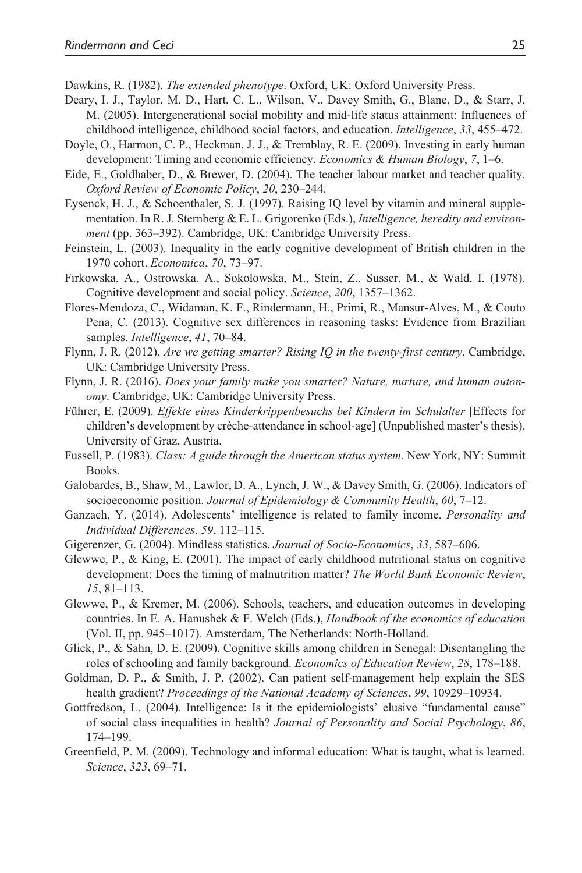Dawkins, R. (1982). *The extended phenotype*. Oxford, UK: Oxford University Press.

- Deary, I. J., Taylor, M. D., Hart, C. L., Wilson, V., Davey Smith, G., Blane, D., & Starr, J. M. (2005). Intergenerational social mobility and mid-life status attainment: Influences of childhood intelligence, childhood social factors, and education. *Intelligence*, *33*, 455–472.
- Doyle, O., Harmon, C. P., Heckman, J. J., & Tremblay, R. E. (2009). Investing in early human development: Timing and economic efficiency. *Economics & Human Biology*, *7*, 1–6.
- Eide, E., Goldhaber, D., & Brewer, D. (2004). The teacher labour market and teacher quality. *Oxford Review of Economic Policy*, *20*, 230–244.
- Eysenck, H. J., & Schoenthaler, S. J. (1997). Raising IQ level by vitamin and mineral supplementation. In R. J. Sternberg & E. L. Grigorenko (Eds.), *Intelligence, heredity and environment* (pp. 363–392). Cambridge, UK: Cambridge University Press.
- Feinstein, L. (2003). Inequality in the early cognitive development of British children in the 1970 cohort. *Economica*, *70*, 73–97.
- Firkowska, A., Ostrowska, A., Sokolowska, M., Stein, Z., Susser, M., & Wald, I. (1978). Cognitive development and social policy. *Science*, *200*, 1357–1362.
- Flores-Mendoza, C., Widaman, K. F., Rindermann, H., Primi, R., Mansur-Alves, M., & Couto Pena, C. (2013). Cognitive sex differences in reasoning tasks: Evidence from Brazilian samples. *Intelligence*, *41*, 70–84.
- Flynn, J. R. (2012). *Are we getting smarter? Rising IQ in the twenty-first century*. Cambridge, UK: Cambridge University Press.
- Flynn, J. R. (2016). *Does your family make you smarter? Nature, nurture, and human autonomy*. Cambridge, UK: Cambridge University Press.
- Führer, E. (2009). *Effekte eines Kinderkrippenbesuchs bei Kindern im Schulalter* [Effects for children's development by crèche-attendance in school-age] (Unpublished master's thesis). University of Graz, Austria.
- Fussell, P. (1983). *Class: A guide through the American status system*. New York, NY: Summit Books.
- Galobardes, B., Shaw, M., Lawlor, D. A., Lynch, J. W., & Davey Smith, G. (2006). Indicators of socioeconomic position. *Journal of Epidemiology & Community Health*, *60*, 7–12.
- Ganzach, Y. (2014). Adolescents' intelligence is related to family income. *Personality and Individual Differences*, *59*, 112–115.
- Gigerenzer, G. (2004). Mindless statistics. *Journal of Socio-Economics*, *33*, 587–606.
- Glewwe, P., & King, E. (2001). The impact of early childhood nutritional status on cognitive development: Does the timing of malnutrition matter? *The World Bank Economic Review*, *15*, 81–113.
- Glewwe, P., & Kremer, M. (2006). Schools, teachers, and education outcomes in developing countries. In E. A. Hanushek & F. Welch (Eds.), *Handbook of the economics of education* (Vol. II, pp. 945–1017). Amsterdam, The Netherlands: North-Holland.
- Glick, P., & Sahn, D. E. (2009). Cognitive skills among children in Senegal: Disentangling the roles of schooling and family background. *Economics of Education Review*, *28*, 178–188.
- Goldman, D. P., & Smith, J. P. (2002). Can patient self-management help explain the SES health gradient? *Proceedings of the National Academy of Sciences*, *99*, 10929–10934.
- Gottfredson, L. (2004). Intelligence: Is it the epidemiologists' elusive "fundamental cause" of social class inequalities in health? *Journal of Personality and Social Psychology*, *86*, 174–199.
- Greenfield, P. M. (2009). Technology and informal education: What is taught, what is learned. *Science*, *323*, 69–71.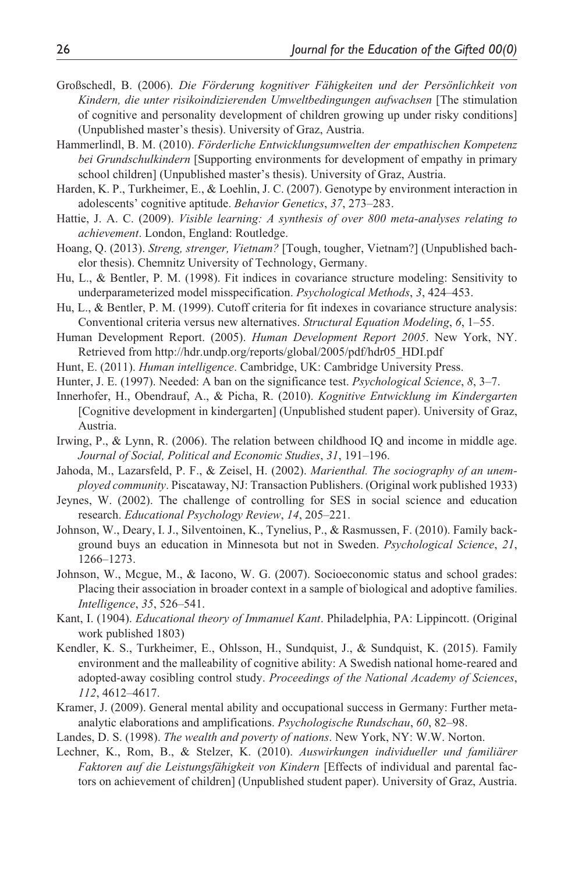- Großschedl, B. (2006). *Die Förderung kognitiver Fähigkeiten und der Persönlichkeit von Kindern, die unter risikoindizierenden Umweltbedingungen aufwachsen* [The stimulation of cognitive and personality development of children growing up under risky conditions] (Unpublished master's thesis). University of Graz, Austria.
- Hammerlindl, B. M. (2010). *Förderliche Entwicklungsumwelten der empathischen Kompetenz bei Grundschulkindern* [Supporting environments for development of empathy in primary school children] (Unpublished master's thesis). University of Graz, Austria.
- Harden, K. P., Turkheimer, E., & Loehlin, J. C. (2007). Genotype by environment interaction in adolescents' cognitive aptitude. *Behavior Genetics*, *37*, 273–283.
- Hattie, J. A. C. (2009). *Visible learning: A synthesis of over 800 meta-analyses relating to achievement*. London, England: Routledge.
- Hoang, Q. (2013). *Streng, strenger, Vietnam?* [Tough, tougher, Vietnam?] (Unpublished bachelor thesis). Chemnitz University of Technology, Germany.
- Hu, L., & Bentler, P. M. (1998). Fit indices in covariance structure modeling: Sensitivity to underparameterized model misspecification. *Psychological Methods*, *3*, 424–453.
- Hu, L., & Bentler, P. M. (1999). Cutoff criteria for fit indexes in covariance structure analysis: Conventional criteria versus new alternatives. *Structural Equation Modeling*, *6*, 1–55.
- Human Development Report. (2005). *Human Development Report 2005*. New York, NY. Retrieved from [http://hdr.undp.org/reports/global/2005/pdf/hdr05\\_HDI.pdf](http://hdr.undp.org/reports/global/2005/pdf/hdr05_HDI.pdf)
- Hunt, E. (2011). *Human intelligence*. Cambridge, UK: Cambridge University Press.
- Hunter, J. E. (1997). Needed: A ban on the significance test. *Psychological Science*, *8*, 3–7.
- Innerhofer, H., Obendrauf, A., & Picha, R. (2010). *Kognitive Entwicklung im Kindergarten* [Cognitive development in kindergarten] (Unpublished student paper). University of Graz, Austria.
- Irwing, P., & Lynn, R. (2006). The relation between childhood IQ and income in middle age. *Journal of Social, Political and Economic Studies*, *31*, 191–196.
- Jahoda, M., Lazarsfeld, P. F., & Zeisel, H. (2002). *Marienthal. The sociography of an unemployed community*. Piscataway, NJ: Transaction Publishers. (Original work published 1933)
- Jeynes, W. (2002). The challenge of controlling for SES in social science and education research. *Educational Psychology Review*, *14*, 205–221.
- Johnson, W., Deary, I. J., Silventoinen, K., Tynelius, P., & Rasmussen, F. (2010). Family background buys an education in Minnesota but not in Sweden. *Psychological Science*, *21*, 1266–1273.
- Johnson, W., Mcgue, M., & Iacono, W. G. (2007). Socioeconomic status and school grades: Placing their association in broader context in a sample of biological and adoptive families. *Intelligence*, *35*, 526–541.
- Kant, I. (1904). *Educational theory of Immanuel Kant*. Philadelphia, PA: Lippincott. (Original work published 1803)
- Kendler, K. S., Turkheimer, E., Ohlsson, H., Sundquist, J., & Sundquist, K. (2015). Family environment and the malleability of cognitive ability: A Swedish national home-reared and adopted-away cosibling control study. *Proceedings of the National Academy of Sciences*, *112*, 4612–4617.
- Kramer, J. (2009). General mental ability and occupational success in Germany: Further metaanalytic elaborations and amplifications. *Psychologische Rundschau*, *60*, 82–98.
- Landes, D. S. (1998). *The wealth and poverty of nations*. New York, NY: W.W. Norton.
- Lechner, K., Rom, B., & Stelzer, K. (2010). *Auswirkungen individueller und familiärer Faktoren auf die Leistungsfähigkeit von Kindern* [Effects of individual and parental factors on achievement of children] (Unpublished student paper). University of Graz, Austria.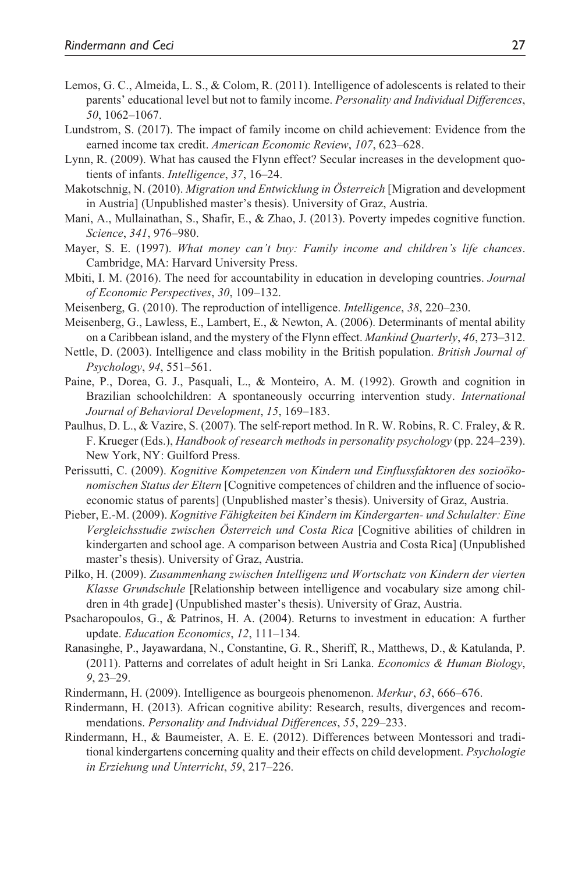- Lemos, G. C., Almeida, L. S., & Colom, R. (2011). Intelligence of adolescents is related to their parents' educational level but not to family income. *Personality and Individual Differences*, *50*, 1062–1067.
- Lundstrom, S. (2017). The impact of family income on child achievement: Evidence from the earned income tax credit. *American Economic Review*, *107*, 623–628.
- Lynn, R. (2009). What has caused the Flynn effect? Secular increases in the development quotients of infants. *Intelligence*, *37*, 16–24.
- Makotschnig, N. (2010). *Migration und Entwicklung in Österreich* [Migration and development in Austria] (Unpublished master's thesis). University of Graz, Austria.
- Mani, A., Mullainathan, S., Shafir, E., & Zhao, J. (2013). Poverty impedes cognitive function. *Science*, *341*, 976–980.
- Mayer, S. E. (1997). *What money can't buy: Family income and children's life chances*. Cambridge, MA: Harvard University Press.
- Mbiti, I. M. (2016). The need for accountability in education in developing countries. *Journal of Economic Perspectives*, *30*, 109–132.
- Meisenberg, G. (2010). The reproduction of intelligence. *Intelligence*, *38*, 220–230.
- Meisenberg, G., Lawless, E., Lambert, E., & Newton, A. (2006). Determinants of mental ability on a Caribbean island, and the mystery of the Flynn effect. *Mankind Quarterly*, *46*, 273–312.
- Nettle, D. (2003). Intelligence and class mobility in the British population. *British Journal of Psychology*, *94*, 551–561.
- Paine, P., Dorea, G. J., Pasquali, L., & Monteiro, A. M. (1992). Growth and cognition in Brazilian schoolchildren: A spontaneously occurring intervention study. *International Journal of Behavioral Development*, *15*, 169–183.
- Paulhus, D. L., & Vazire, S. (2007). The self-report method. In R. W. Robins, R. C. Fraley, & R. F. Krueger (Eds.), *Handbook of research methods in personality psychology* (pp. 224–239). New York, NY: Guilford Press.
- Perissutti, C. (2009). *Kognitive Kompetenzen von Kindern und Einflussfaktoren des sozioökonomischen Status der Eltern* [Cognitive competences of children and the influence of socioeconomic status of parents] (Unpublished master's thesis). University of Graz, Austria.
- Pieber, E.-M. (2009). *Kognitive Fähigkeiten bei Kindern im Kindergarten- und Schulalter: Eine Vergleichsstudie zwischen Österreich und Costa Rica* [Cognitive abilities of children in kindergarten and school age. A comparison between Austria and Costa Rica] (Unpublished master's thesis). University of Graz, Austria.
- Pilko, H. (2009). *Zusammenhang zwischen Intelligenz und Wortschatz von Kindern der vierten Klasse Grundschule* [Relationship between intelligence and vocabulary size among children in 4th grade] (Unpublished master's thesis). University of Graz, Austria.
- Psacharopoulos, G., & Patrinos, H. A. (2004). Returns to investment in education: A further update. *Education Economics*, *12*, 111–134.
- Ranasinghe, P., Jayawardana, N., Constantine, G. R., Sheriff, R., Matthews, D., & Katulanda, P. (2011). Patterns and correlates of adult height in Sri Lanka. *Economics & Human Biology*, *9*, 23–29.
- Rindermann, H. (2009). Intelligence as bourgeois phenomenon. *Merkur*, *63*, 666–676.
- Rindermann, H. (2013). African cognitive ability: Research, results, divergences and recommendations. *Personality and Individual Differences*, *55*, 229–233.
- Rindermann, H., & Baumeister, A. E. E. (2012). Differences between Montessori and traditional kindergartens concerning quality and their effects on child development. *Psychologie in Erziehung und Unterricht*, *59*, 217–226.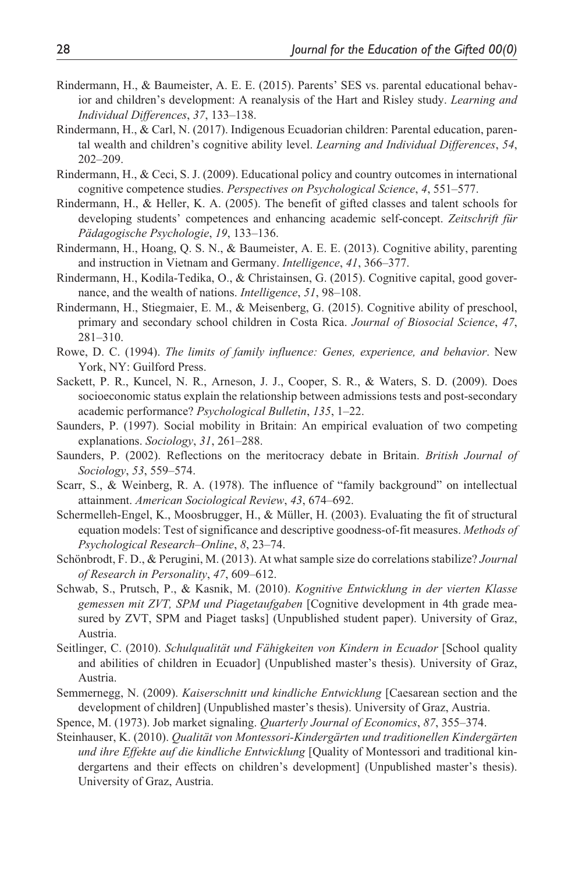- Rindermann, H., & Baumeister, A. E. E. (2015). Parents' SES vs. parental educational behavior and children's development: A reanalysis of the Hart and Risley study. *Learning and Individual Differences*, *37*, 133–138.
- Rindermann, H., & Carl, N. (2017). Indigenous Ecuadorian children: Parental education, parental wealth and children's cognitive ability level. *Learning and Individual Differences*, *54*, 202–209.
- Rindermann, H., & Ceci, S. J. (2009). Educational policy and country outcomes in international cognitive competence studies. *Perspectives on Psychological Science*, *4*, 551–577.
- Rindermann, H., & Heller, K. A. (2005). The benefit of gifted classes and talent schools for developing students' competences and enhancing academic self-concept. *Zeitschrift für Pädagogische Psychologie*, *19*, 133–136.
- Rindermann, H., Hoang, Q. S. N., & Baumeister, A. E. E. (2013). Cognitive ability, parenting and instruction in Vietnam and Germany. *Intelligence*, *41*, 366–377.
- Rindermann, H., Kodila-Tedika, O., & Christainsen, G. (2015). Cognitive capital, good governance, and the wealth of nations. *Intelligence*, *51*, 98–108.
- Rindermann, H., Stiegmaier, E. M., & Meisenberg, G. (2015). Cognitive ability of preschool, primary and secondary school children in Costa Rica. *Journal of Biosocial Science*, *47*, 281–310.
- Rowe, D. C. (1994). *The limits of family influence: Genes, experience, and behavior*. New York, NY: Guilford Press.
- Sackett, P. R., Kuncel, N. R., Arneson, J. J., Cooper, S. R., & Waters, S. D. (2009). Does socioeconomic status explain the relationship between admissions tests and post-secondary academic performance? *Psychological Bulletin*, *135*, 1–22.
- Saunders, P. (1997). Social mobility in Britain: An empirical evaluation of two competing explanations. *Sociology*, *31*, 261–288.
- Saunders, P. (2002). Reflections on the meritocracy debate in Britain. *British Journal of Sociology*, *53*, 559–574.
- Scarr, S., & Weinberg, R. A. (1978). The influence of "family background" on intellectual attainment. *American Sociological Review*, *43*, 674–692.
- Schermelleh-Engel, K., Moosbrugger, H., & Müller, H. (2003). Evaluating the fit of structural equation models: Test of significance and descriptive goodness-of-fit measures. *Methods of Psychological Research–Online*, *8*, 23–74.
- Schönbrodt, F. D., & Perugini, M. (2013). At what sample size do correlations stabilize? *Journal of Research in Personality*, *47*, 609–612.
- Schwab, S., Prutsch, P., & Kasnik, M. (2010). *Kognitive Entwicklung in der vierten Klasse gemessen mit ZVT, SPM und Piagetaufgaben* [Cognitive development in 4th grade measured by ZVT, SPM and Piaget tasks] (Unpublished student paper). University of Graz, Austria.
- Seitlinger, C. (2010). *Schulqualität und Fähigkeiten von Kindern in Ecuador* [School quality and abilities of children in Ecuador] (Unpublished master's thesis). University of Graz, Austria.
- Semmernegg, N. (2009). *Kaiserschnitt und kindliche Entwicklung* [Caesarean section and the development of children] (Unpublished master's thesis). University of Graz, Austria.
- Spence, M. (1973). Job market signaling. *Quarterly Journal of Economics*, *87*, 355–374.
- Steinhauser, K. (2010). *Qualität von Montessori-Kindergärten und traditionellen Kindergärten und ihre Effekte auf die kindliche Entwicklung* [Quality of Montessori and traditional kindergartens and their effects on children's development] (Unpublished master's thesis). University of Graz, Austria.